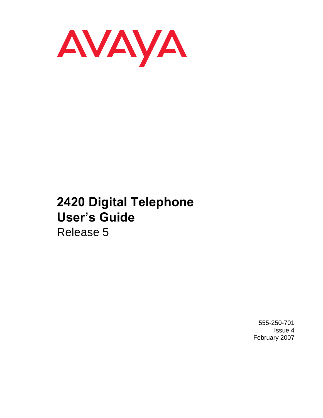

# **2420 Digital Telephone User's Guide**

Release 5

555-250-701 Issue 4 February 2007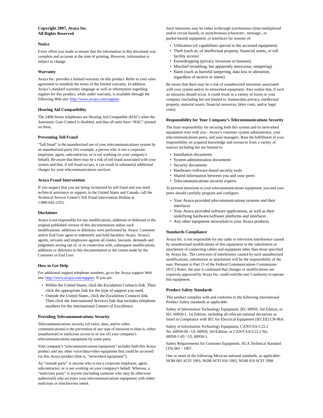#### **Copyright 2007, Avaya Inc. All Rights Reserved**

#### **Notice**

Every effort was made to ensure that the information in this document was complete and accurate at the time of printing. However, information is subject to change.

#### **Warranty**

Avaya Inc. provides a limited warranty on this product. Refer to your sales agreement to establish the terms of the limited warranty. In addition, Avaya's standard warranty language as well as information regarding support for this product, while under warranty, is available through the following Web site: [http://www.avaya.com/support.](http://www.avaya.com/support)

#### **Hearing Aid Compatibility**

The 2400-Series telephones are Hearing Aid Compatible (HAC) when the Automatic Gain Control is disabled, and thus all units have "HAC" printed on them.

#### **Preventing Toll Fraud**

"Toll fraud" is the unauthorized use of your telecommunications system by an unauthorized party (for example, a person who is not a corporate employee, agent, subcontractor, or is not working on your company's behalf). Be aware that there may be a risk of toll fraud associated with your system and that, if toll fraud occurs, it can result in substantial additional charges for your telecommunications services.

#### **Avaya Fraud Intervention**

If you suspect that you are being victimized by toll fraud and you need technical assistance or support, in the United States and Canada, call the Technical Service Center's Toll Fraud Intervention Hotline at 1-800-643-2353.

#### **Disclaimer**

Avaya is not responsible for any modifications, additions or deletions to the original published version of this documentation unless such modifications, additions or deletions were performed by Avaya. Customer and/or End User agree to indemnify and hold harmless Avaya, Avaya's agents, servants and employees against all claims, lawsuits, demands and judgments arising out of, or in connection with, subsequent modifications, additions or deletions to this documentation to the extent made by the Customer or End User.

#### **How to Get Help**

For additional support telephone numbers, go to the Avaya support Web site: [http://www.avaya.com/support.](http://www.avaya.com/support/) If you are:

- Within the United States, click the *Escalation Contacts* link. Then click the appropriate link for the type of support you need.
- Outside the United States, click the *Escalation Contacts* link. Then click the *International Services* link that includes telephone numbers for the international Centers of Excellence.

#### **Providing Telecommunications Security**

Telecommunications security (of voice, data, and/or video communications) is the prevention of any type of intrusion to (that is, either unauthorized or malicious access to or use of) your company's telecommunications equipment by some party.

Your company's "telecommunications equipment" includes both this Avaya product and any other voice/data/video equipment that could be accessed via this Avaya product (that is, "networked equipment").

An "outside party" is anyone who is not a corporate employee, agent, subcontractor, or is not working on your company's behalf. Whereas, a "malicious party" is anyone (including someone who may be otherwise authorized) who accesses your telecommunications equipment with either malicious or mischievous intent.

Such intrusions may be either to/through synchronous (time-multiplexed and/or circuit-based), or asynchronous (character-, message-, or packet-based) equipment, or interfaces for reasons of:

- Utilization (of capabilities special to the accessed equipment)
- Theft (such as, of intellectual property, financial assets, or toll facility access)
- Eavesdropping (privacy invasions to humans)
- Mischief (troubling, but apparently innocuous, tampering)
- Harm (such as harmful tampering, data loss or alteration, regardless of motive or intent)

Be aware that there may be a risk of unauthorized intrusions associated with your system and/or its networked equipment. Also realize that, if such an intrusion should occur, it could result in a variety of losses to your company (including but not limited to, human/data privacy, intellectual property, material assets, financial resources, labor costs, and/or legal costs).

#### **Responsibility for Your Company's Telecommunications Security**

The final responsibility for securing both this system and its networked equipment rests with you - Avaya's customer system administrator, your telecommunications peers, and your managers. Base the fulfillment of your responsibility on acquired knowledge and resources from a variety of sources including but not limited to:

- Installation documents
- System administration documents
- Security documents
- Hardware-/software-based security tools
- Shared information between you and your peers
- Telecommunications security experts

To prevent intrusions to your telecommunications equipment, you and your peers should carefully program and configure:

- Your Avaya-provided telecommunications systems and their interfaces
- Your Avaya-provided software applications, as well as their underlying hardware/software platforms and interfaces
- Any other equipment networked to your Avaya products

#### **Standards Compliance**

Avaya Inc. is not responsible for any radio or television interference caused by unauthorized modifications of this equipment or the substitution or attachment of connecting cables and equipment other than those specified by Avaya Inc. The correction of interference caused by such unauthorized modifications, substitution or attachment will be the responsibility of the user. Pursuant to Part 15 of the Federal Communications Commission (FCC) Rules, the user is cautioned that changes or modifications not expressly approved by Avaya Inc. could void the user's authority to operate this equipment.

#### **Product Safety Standards**

This product complies with and conforms to the following international Product Safety standards as applicable:

Safety of Information Technology Equipment, IEC 60950, 3rd Edition, or IEC 60950-1, 1st Edition, including all relevant national deviations as listed in Compliance with IEC for Electrical Equipment (IECEE) CB-96A.

Safety of Information Technology Equipment, CAN/CSA-C22.2 No. 60950-00 / UL 60950, 3rd Edition, or CAN/CSA-C22.2 No. 60950-1-03 / UL 60950-1.

Safety Requirements for Customer Equipment, ACA Technical Standard (TS) 001 - 1997.

One or more of the following Mexican national standards, as applicable: NOM 001 SCFI 1993, NOM SCFI 016 1993, NOM 019 SCFI 1998.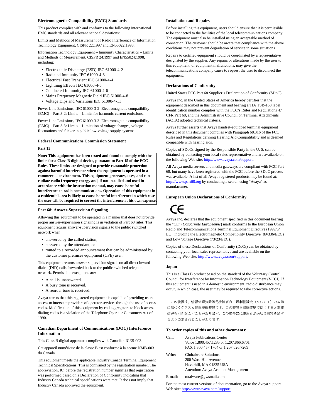#### **Electromagnetic Compatibility (EMC) Standards**

This product complies with and conforms to the following international EMC standards and all relevant national deviations:

Limits and Methods of Measurement of Radio Interference of Information Technology Equipment, CISPR 22:1997 and EN55022:1998.

Information Technology Equipment – Immunity Characteristics – Limits and Methods of Measurement, CISPR 24:1997 and EN55024:1998, including:

- Electrostatic Discharge (ESD) IEC 61000-4-2
- Radiated Immunity IEC 61000-4-3
- Electrical Fast Transient IEC 61000-4-4
- Lightning Effects IEC 61000-4-5
- Conducted Immunity IEC 61000-4-6
- Mains Frequency Magnetic Field IEC 61000-4-8
- Voltage Dips and Variations IEC 61000-4-11

Power Line Emissions, IEC 61000-3-2: Electromagnetic compatibility (EMC) – Part 3-2: Limits – Limits for harmonic current emissions.

Power Line Emissions, IEC 61000-3-3: Electromagnetic compatibility (EMC) – Part 3-3: Limits – Limitation of voltage changes, voltage fluctuations and flicker in public low-voltage supply systems.

#### **Federal Communications Commission Statement**

#### **Part 15:**

**Note: This equipment has been tested and found to comply with the limits for a Class B digital device, pursuant to Part 15 of the FCC Rules. These limits are designed to provide reasonable protection against harmful interference when the equipment is operated in a commercial environment. This equipment generates, uses, and can radiate radio frequency energy and, if not installed and used in accordance with the instruction manual, may cause harmful interference to radio communications. Operation of this equipment in a residential area is likely to cause harmful interference in which case the user will be required to correct the interference at his own expense.**

#### **Part 68: Answer-Supervision Signaling**

Allowing this equipment to be operated in a manner that does not provide proper answer-supervision signaling is in violation of Part 68 rules. This equipment returns answer-supervision signals to the public switched network when:

- answered by the called station,
- answered by the attendant, or
- routed to a recorded announcement that can be administered by the customer premises equipment (CPE) user.

This equipment returns answer-supervision signals on all direct inward dialed (DID) calls forwarded back to the public switched telephone network. Permissible exceptions are:

- A call is unanswered.
- A busy tone is received.
- A reorder tone is received.

Avaya attests that this registered equipment is capable of providing users access to interstate providers of operator services through the use of access codes. Modification of this equipment by call aggregators to block access dialing codes is a violation of the Telephone Operator Consumers Act of 1990.

#### **Canadian Department of Communications (DOC) Interference Information**

This Class B digital apparatus complies with Canadian ICES-003.

Cet appareil numérique de la classe B est conforme à la norme NMB-003 du Canada.

This equipment meets the applicable Industry Canada Terminal Equipment Technical Specifications. This is confirmed by the registration number. The abbreviation, IC, before the registration number signifies that registration was performed based on a Declaration of Conformity indicating that Industry Canada technical specifications were met. It does not imply that Industry Canada approved the equipment.

#### **Installation and Repairs**

Before installing this equipment, users should ensure that it is permissible to be connected to the facilities of the local telecommunications company. The equipment must also be installed using an acceptable method of connection. The customer should be aware that compliance with the above conditions may not prevent degradation of service in some situations.

Repairs to certified equipment should be coordinated by a representative designated by the supplier. Any repairs or alterations made by the user to this equipment, or equipment malfunctions, may give the telecommunications company cause to request the user to disconnect the equipment.

#### **Declarations of Conformity**

United States FCC Part 68 Supplier's Declaration of Conformity (SDoC)

Avaya Inc. in the United States of America hereby certifies that the equipment described in this document and bearing a TIA TSB-168 label identification number complies with the FCC's Rules and Regulations 47 CFR Part 68, and the Administrative Council on Terminal Attachments (ACTA) adopted technical criteria.

Avaya further asserts that Avaya handset-equipped terminal equipment described in this document complies with Paragraph 68.316 of the FCC Rules and Regulations defining Hearing Aid Compatibility and is deemed compatible with hearing aids.

Copies of SDoCs signed by the Responsible Party in the U. S. can be obtained by contacting your local sales representative and are available on the following Web site: [http://www.avaya.com/support](http://avaya.com/support).

All Avaya media servers and media gateways are compliant with FCC Part 68, but many have been registered with the FCC before the SDoC process was available. A list of all Avaya registered products may be found at: [http://www.part68.org](http://www.part68.org/) by conducting a search using "Avaya" as manufacturer.

#### **European Union Declarations of Conformity**



Avaya Inc. declares that the equipment specified in this document bearing the "CE" (*Conformité Europeénne*) mark conforms to the European Union Radio and Telecommunications Terminal Equipment Directive (1999/5/ EC), including the Electromagnetic Compatibility Directive (89/336/EEC) and Low Voltage Directive (73/23/EEC).

Copies of these Declarations of Conformity (DoCs) can be obtained by contacting your local sales representative and are available on the following Web site: [http://www.avaya.com/support](http://www.avaya.com/support/).

#### **Japan**

This is a Class B product based on the standard of the Voluntary Control Council for Interference by Information Technology Equipment (VCCI). If this equipment is used in a domestic environment, radio disturbance may occur, in which case, the user may be required to take corrective actions.

この装置は、情報処理装置等電波障害自主規制協議会 (VCCI) の基準 に基づくクラスA情報技術装置です。この装置を家庭環境で使用すると電波 妨害を引き起こすことがあります。この場合には使用者が適切な対策を講ず るよう要求されることがあります。

#### **To order copies of this and other documents:**

| Call:  | <b>Avaya Publications Center</b><br>Voice 1.800.457.1235 or 1.207.866.6701<br>FAX 1.800.457.1764 or 1.207.626.7269 |
|--------|--------------------------------------------------------------------------------------------------------------------|
| Write: | Globalware Solutions<br>200 Ward Hill Avenue<br>.                                                                  |

- Haverhill, MA 01835 USA Attention: Avaya Account Management
- E-mail: totalware@gwsmail.com

For the most current versions of documentation, go to the Avaya support Web site: [http://www.avaya.com/support](http://www.avaya.com/support/).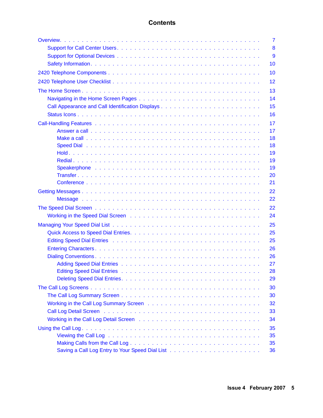### **Contents**

| 7        |
|----------|
| 8        |
| 9        |
| 10       |
| 10       |
| 12       |
| 13       |
| 14       |
| 15       |
| 16       |
| 17       |
| 17       |
| 18       |
| 18       |
| 19       |
| 19       |
| 19       |
| 20<br>21 |
|          |
| 22       |
| 22       |
| 22       |
| 24       |
| 25       |
| 25       |
| 25       |
| 26       |
| 26       |
| 27       |
| 28       |
| 29       |
| 30       |
| 30       |
| 32       |
| 33       |
| 34       |
| 35       |
| 35       |
| 35       |
| 36       |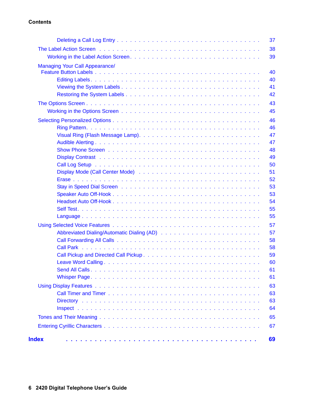#### **Contents**

|                                                                                                                                                                                                                                               |  | 37 |
|-----------------------------------------------------------------------------------------------------------------------------------------------------------------------------------------------------------------------------------------------|--|----|
| The Label Action Screen (Additional Additional Additional Additional Additional Additional Additional Additional Additional Additional Additional Additional Additional Additional Additional Additional Additional Additional                |  | 38 |
|                                                                                                                                                                                                                                               |  | 39 |
| <b>Managing Your Call Appearance/</b>                                                                                                                                                                                                         |  |    |
|                                                                                                                                                                                                                                               |  | 40 |
|                                                                                                                                                                                                                                               |  | 40 |
|                                                                                                                                                                                                                                               |  | 41 |
|                                                                                                                                                                                                                                               |  | 42 |
|                                                                                                                                                                                                                                               |  | 43 |
|                                                                                                                                                                                                                                               |  | 45 |
|                                                                                                                                                                                                                                               |  | 46 |
|                                                                                                                                                                                                                                               |  | 46 |
|                                                                                                                                                                                                                                               |  | 47 |
|                                                                                                                                                                                                                                               |  | 47 |
|                                                                                                                                                                                                                                               |  | 48 |
|                                                                                                                                                                                                                                               |  | 49 |
|                                                                                                                                                                                                                                               |  | 50 |
|                                                                                                                                                                                                                                               |  | 51 |
|                                                                                                                                                                                                                                               |  | 52 |
|                                                                                                                                                                                                                                               |  | 53 |
|                                                                                                                                                                                                                                               |  | 53 |
|                                                                                                                                                                                                                                               |  | 54 |
|                                                                                                                                                                                                                                               |  | 55 |
|                                                                                                                                                                                                                                               |  | 55 |
|                                                                                                                                                                                                                                               |  | 57 |
|                                                                                                                                                                                                                                               |  | 57 |
|                                                                                                                                                                                                                                               |  | 58 |
|                                                                                                                                                                                                                                               |  | 58 |
|                                                                                                                                                                                                                                               |  | 59 |
|                                                                                                                                                                                                                                               |  | 60 |
|                                                                                                                                                                                                                                               |  | 61 |
|                                                                                                                                                                                                                                               |  | 61 |
|                                                                                                                                                                                                                                               |  | 63 |
|                                                                                                                                                                                                                                               |  | 63 |
|                                                                                                                                                                                                                                               |  | 63 |
| Inspect to a construction of the construction of the construction of the construction of the construction of the construction of the construction of the construction of the construction of the construction of the construct                |  | 64 |
|                                                                                                                                                                                                                                               |  | 65 |
|                                                                                                                                                                                                                                               |  | 67 |
| <b>Index</b><br>a constitution of the constitution of the constitution of the constitution of the constitution of the constitution of the constitution of the constitution of the constitution of the constitution of the constitution of the |  | 69 |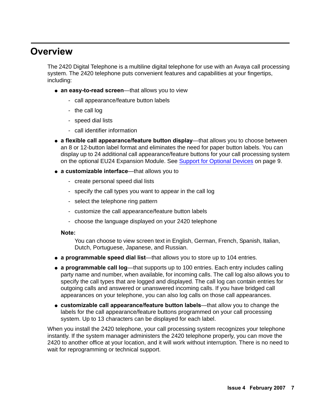# <span id="page-6-0"></span>**Overview**

The 2420 Digital Telephone is a multiline digital telephone for use with an Avaya call processing system. The 2420 telephone puts convenient features and capabilities at your fingertips, including:

- **an easy-to-read screen**—that allows you to view
	- call appearance/feature button labels
	- the call log
	- speed dial lists
	- call identifier information
- **a flexible call appearance/feature button display—that allows you to choose between** an 8 or 12-button label format and eliminates the need for paper button labels. You can display up to 24 additional call appearance/feature buttons for your call processing system on the optional EU24 Expansion Module. See [Support for Optional Devices](#page-8-0) on page 9.
- **a customizable interface**—that allows you to
	- create personal speed dial lists
	- specify the call types you want to appear in the call log
	- select the telephone ring pattern
	- customize the call appearance/feature button labels
	- choose the language displayed on your 2420 telephone

#### **Note:**

You can choose to view screen text in English, German, French, Spanish, Italian, Dutch, Portuguese, Japanese, and Russian.

- **a programmable speed dial list**—that allows you to store up to 104 entries.
- **a programmable call log**—that supports up to 100 entries. Each entry includes calling party name and number, when available, for incoming calls. The call log also allows you to specify the call types that are logged and displayed. The call log can contain entries for outgoing calls and answered or unanswered incoming calls. If you have bridged call appearances on your telephone, you can also log calls on those call appearances.
- **customizable call appearance/feature button labels**—that allow you to change the labels for the call appearance/feature buttons programmed on your call processing system. Up to 13 characters can be displayed for each label.

When you install the 2420 telephone, your call processing system recognizes your telephone instantly. If the system manager administers the 2420 telephone properly, you can move the 2420 to another office at your location, and it will work without interruption. There is no need to wait for reprogramming or technical support.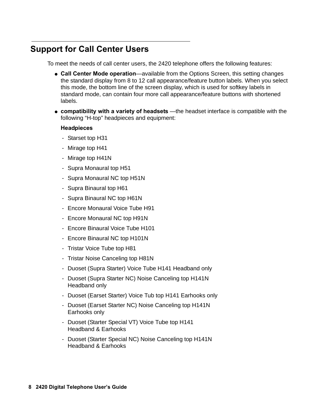# <span id="page-7-0"></span>**Support for Call Center Users**

To meet the needs of call center users, the 2420 telephone offers the following features:

- **Call Center Mode operation**—available from the Options Screen, this setting changes the standard display from 8 to 12 call appearance/feature button labels. When you select this mode, the bottom line of the screen display, which is used for softkey labels in standard mode, can contain four more call appearance/feature buttons with shortened labels.
- **compatibility with a variety of headsets** —the headset interface is compatible with the following "H-top" headpieces and equipment:

#### **Headpieces**

- Starset top H31
- Mirage top H41
- Mirage top H41N
- Supra Monaural top H51
- Supra Monaural NC top H51N
- Supra Binaural top H61
- Supra Binaural NC top H61N
- Encore Monaural Voice Tube H91
- Encore Monaural NC top H91N
- Encore Binaural Voice Tube H101
- Encore Binaural NC top H101N
- Tristar Voice Tube top H81
- Tristar Noise Canceling top H81N
- Duoset (Supra Starter) Voice Tube H141 Headband only
- Duoset (Supra Starter NC) Noise Canceling top H141N Headband only
- Duoset (Earset Starter) Voice Tub top H141 Earhooks only
- Duoset (Earset Starter NC) Noise Canceling top H141N Earhooks only
- Duoset (Starter Special VT) Voice Tube top H141 Headband & Earhooks
- Duoset (Starter Special NC) Noise Canceling top H141N Headband & Earhooks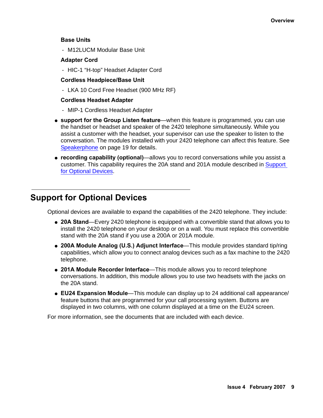#### **Base Units**

- M12LUCM Modular Base Unit

#### **Adapter Cord**

- HIC-1 "H-top" Headset Adapter Cord

#### **Cordless Headpiece/Base Unit**

- LKA 10 Cord Free Headset (900 MHz RF)

#### **Cordless Headset Adapter**

- MIP-1 Cordless Headset Adapter
- **support for the Group Listen feature**—when this feature is programmed, you can use the handset or headset and speaker of the 2420 telephone simultaneously. While you assist a customer with the headset, your supervisor can use the speaker to listen to the conversation. The modules installed with your 2420 telephone can affect this feature. See [Speakerphone](#page-18-2) on page 19 for details.
- **recording capability (optional)**—allows you to record conversations while you assist a customer. This capability requires the 20A stand and 201A module described in [Support](#page-8-0)  [for Optional Devices](#page-8-0).

## <span id="page-8-0"></span>**Support for Optional Devices**

Optional devices are available to expand the capabilities of the 2420 telephone. They include:

- **20A Stand—Every 2420 telephone is equipped with a convertible stand that allows you to** install the 2420 telephone on your desktop or on a wall. You must replace this convertible stand with the 20A stand if you use a 200A or 201A module.
- **200A Module Analog (U.S.) Adjunct Interface**—This module provides standard tip/ring capabilities, which allow you to connect analog devices such as a fax machine to the 2420 telephone.
- **201A Module Recorder Interface**—This module allows you to record telephone conversations. In addition, this module allows you to use two headsets with the jacks on the 20A stand.
- **EU24 Expansion Module**—This module can display up to 24 additional call appearance/ feature buttons that are programmed for your call processing system. Buttons are displayed in two columns, with one column displayed at a time on the EU24 screen.

For more information, see the documents that are included with each device.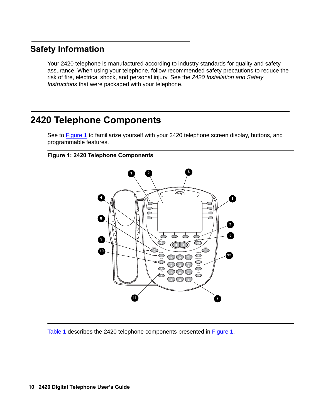# <span id="page-9-0"></span>**Safety Information**

Your 2420 telephone is manufactured according to industry standards for quality and safety assurance. When using your telephone, follow recommended safety precautions to reduce the risk of fire, electrical shock, and personal injury. See the *2420 Installation and Safety Instructions* that were packaged with your telephone.

# <span id="page-9-1"></span>**2420 Telephone Components**

See to [Figure 1](#page-9-2) to familiarize yourself with your 2420 telephone screen display, buttons, and programmable features.

### <span id="page-9-2"></span>**Figure 1: 2420 Telephone Components**



[Table 1](#page-10-0) describes the 2420 telephone components presented in [Figure 1](#page-9-2).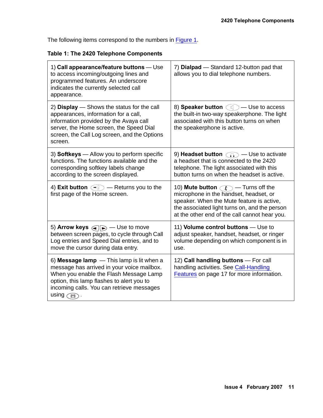The following items correspond to the numbers in **Figure 1.** 

### <span id="page-10-0"></span>**Table 1: The 2420 Telephone Components**

| 1) Call appearance/feature buttons - Use<br>to access incoming/outgoing lines and<br>programmed features. An underscore<br>indicates the currently selected call<br>appearance.                                                                                                      | 7) Dialpad - Standard 12-button pad that<br>allows you to dial telephone numbers.                                                                                                                                                          |
|--------------------------------------------------------------------------------------------------------------------------------------------------------------------------------------------------------------------------------------------------------------------------------------|--------------------------------------------------------------------------------------------------------------------------------------------------------------------------------------------------------------------------------------------|
| 2) <b>Display</b> — Shows the status for the call<br>appearances, information for a call,<br>information provided by the Avaya call<br>server, the Home screen, the Speed Dial<br>screen, the Call Log screen, and the Options<br>screen.                                            | 8) Speaker button $\textcircled{1}$ - Use to access<br>the built-in two-way speakerphone. The light<br>associated with this button turns on when<br>the speakerphone is active.                                                            |
| 3) Softkeys - Allow you to perform specific<br>functions. The functions available and the<br>corresponding softkey labels change<br>according to the screen displayed.                                                                                                               | 9) Headset button $\widehat{\langle\,\,\,\rangle}$ — Use to activate<br>a headset that is connected to the 2420<br>telephone. The light associated with this<br>button turns on when the headset is active.                                |
| 4) Exit button $\bigcirc$ – Returns you to the<br>first page of the Home screen.                                                                                                                                                                                                     | 10) Mute button $\textcircled{r}$ - Turns off the<br>microphone in the handset, headset, or<br>speaker. When the Mute feature is active,<br>the associated light turns on, and the person<br>at the other end of the call cannot hear you. |
| 5) Arrow keys $\bigcirc$ $\triangleright$ - Use to move<br>between screen pages, to cycle through Call<br>Log entries and Speed Dial entries, and to<br>move the cursor during data entry.                                                                                           | 11) Volume control buttons - Use to<br>adjust speaker, handset, headset, or ringer<br>volume depending on which component is in<br>use.                                                                                                    |
| 6) Message lamp $-$ This lamp is lit when a<br>message has arrived in your voice mailbox.<br>When you enable the Flash Message Lamp<br>option, this lamp flashes to alert you to<br>incoming calls. You can retrieve messages<br>using $\epsilon$<br>$\textcolor{blue}{\boxtimes}$ . | 12) Call handling buttons - For call<br>handling activities. See Call-Handling<br>Features on page 17 for more information.                                                                                                                |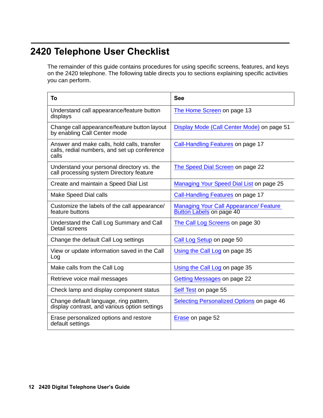# <span id="page-11-0"></span>**2420 Telephone User Checklist**

The remainder of this guide contains procedures for using specific screens, features, and keys on the 2420 telephone. The following table directs you to sections explaining specific activities you can perform.

| To                                                                                                   | <b>See</b>                                                                |
|------------------------------------------------------------------------------------------------------|---------------------------------------------------------------------------|
| Understand call appearance/feature button<br>displays                                                | The Home Screen on page 13                                                |
| Change call appearance/feature button layout<br>by enabling Call Center mode                         | Display Mode (Call Center Mode) on page 51                                |
| Answer and make calls, hold calls, transfer<br>calls, redial numbers, and set up conference<br>calls | Call-Handling Features on page 17                                         |
| Understand your personal directory vs. the<br>call processing system Directory feature               | The Speed Dial Screen on page 22                                          |
| Create and maintain a Speed Dial List                                                                | Managing Your Speed Dial List on page 25                                  |
| Make Speed Dial calls                                                                                | Call-Handling Features on page 17                                         |
| Customize the labels of the call appearance/<br>feature buttons                                      | <b>Managing Your Call Appearance/ Feature</b><br>Button Labels on page 40 |
| Understand the Call Log Summary and Call<br>Detail screens                                           | The Call Log Screens on page 30                                           |
| Change the default Call Log settings                                                                 | Call Log Setup on page 50                                                 |
| View or update information saved in the Call<br>Log                                                  | Using the Call Log on page 35                                             |
| Make calls from the Call Log                                                                         | Using the Call Log on page 35                                             |
| Retrieve voice mail messages                                                                         | Getting Messages on page 22                                               |
| Check lamp and display component status                                                              | Self Test on page 55                                                      |
| Change default language, ring pattern,<br>display contrast, and various option settings              | Selecting Personalized Options on page 46                                 |
| Erase personalized options and restore<br>default settings                                           | Erase on page 52                                                          |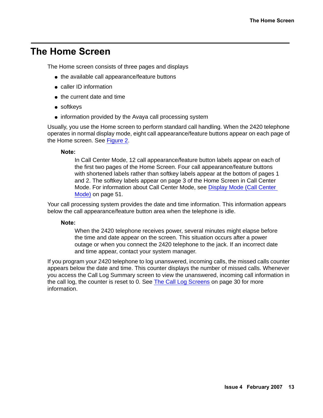# <span id="page-12-0"></span>**The Home Screen**

The Home screen consists of three pages and displays

- the available call appearance/feature buttons
- caller ID information
- the current date and time
- softkeys
- information provided by the Avaya call processing system

Usually, you use the Home screen to perform standard call handling. When the 2420 telephone operates in normal display mode, eight call appearance/feature buttons appear on each page of the Home screen. See [Figure 2.](#page-13-1)

#### **Note:**

In Call Center Mode, 12 call appearance/feature button labels appear on each of the first two pages of the Home Screen. Four call appearance/feature buttons with shortened labels rather than softkey labels appear at the bottom of pages 1 and 2. The softkey labels appear on page 3 of the Home Screen in Call Center Mode. For information about Call Center Mode, see [Display Mode \(Call Center](#page-50-0)  Mode) [on page 51.](#page-50-0)

Your call processing system provides the date and time information. This information appears below the call appearance/feature button area when the telephone is idle.

#### **Note:**

When the 2420 telephone receives power, several minutes might elapse before the time and date appear on the screen. This situation occurs after a power outage or when you connect the 2420 telephone to the jack. If an incorrect date and time appear, contact your system manager.

If you program your 2420 telephone to log unanswered, incoming calls, the missed calls counter appears below the date and time. This counter displays the number of missed calls. Whenever you access the Call Log Summary screen to view the unanswered, incoming call information in the call log, the counter is reset to 0. See [The Call Log Screens](#page-29-0) on page 30 for more information.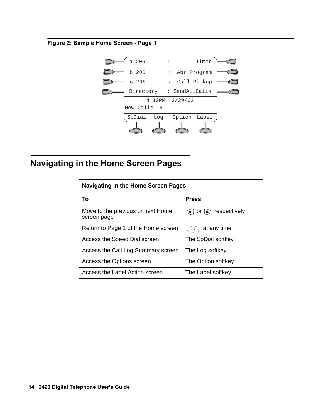## <span id="page-13-1"></span>**Figure 2: Sample Home Screen - Page 1**



# <span id="page-13-0"></span>**Navigating in the Home Screen Pages**

| Navigating in the Home Screen Pages              |                                             |  |
|--------------------------------------------------|---------------------------------------------|--|
| To                                               | <b>Press</b>                                |  |
| Move to the previous or next Home<br>screen page | $\bigcirc$ or $\triangleright$ respectively |  |
| Return to Page 1 of the Home screen              | at any time<br>$\neg$ M                     |  |
| Access the Speed Dial screen                     | The SpDial softkey                          |  |
| Access the Call Log Summary screen               | The Log softkey                             |  |
| Access the Options screen                        | The Option softkey                          |  |
| Access the Label Action screen                   | The Label softkey                           |  |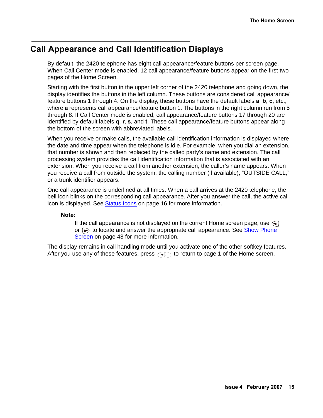# <span id="page-14-0"></span>**Call Appearance and Call Identification Displays**

By default, the 2420 telephone has eight call appearance/feature buttons per screen page. When Call Center mode is enabled, 12 call appearance/feature buttons appear on the first two pages of the Home Screen.

Starting with the first button in the upper left corner of the 2420 telephone and going down, the display identifies the buttons in the left column. These buttons are considered call appearance/ feature buttons 1 through 4. On the display, these buttons have the default labels **a**, **b**, **c**, etc., where **a** represents call appearance/feature button 1. The buttons in the right column run from 5 through 8. If Call Center mode is enabled, call appearance/feature buttons 17 through 20 are identified by default labels **q**, **r**, **s**, and **t**. These call appearance/feature buttons appear along the bottom of the screen with abbreviated labels.

When you receive or make calls, the available call identification information is displayed where the date and time appear when the telephone is idle. For example, when you dial an extension, that number is shown and then replaced by the called party's name and extension. The call processing system provides the call identification information that is associated with an extension. When you receive a call from another extension, the caller's name appears. When you receive a call from outside the system, the calling number (if available), "OUTSIDE CALL," or a trunk identifier appears.

One call appearance is underlined at all times. When a call arrives at the 2420 telephone, the bell icon blinks on the corresponding call appearance. After you answer the call, the active call icon is displayed. See [Status Icons](#page-15-1) on page 16 for more information.

#### **Note:**

If the call appearance is not displayed on the current Home screen page, use  $\bigodot$ or  $\blacktriangleright$  to locate and answer the appropriate call appearance. See Show Phone Screen [on page 48](#page-47-0) for more information.

The display remains in call handling mode until you activate one of the other softkey features. After you use any of these features, press  $\widehat{f}(\widehat{f})$  to return to page 1 of the Home screen.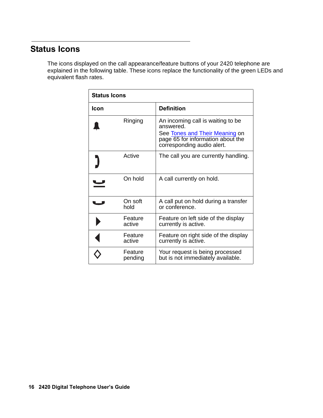# <span id="page-15-0"></span>**Status Icons**

The icons displayed on the call appearance/feature buttons of your 2420 telephone are explained in the following table. These icons replace the functionality of the green LEDs and equivalent flash rates.

<span id="page-15-1"></span>

| <b>Status Icons</b> |                    |                                                                                                                                                     |
|---------------------|--------------------|-----------------------------------------------------------------------------------------------------------------------------------------------------|
| Icon                |                    | <b>Definition</b>                                                                                                                                   |
|                     | Ringing            | An incoming call is waiting to be<br>answered.<br>See Tones and Their Meaning on<br>page 65 for information about the<br>corresponding audio alert. |
|                     | Active             | The call you are currently handling.                                                                                                                |
|                     | On hold            | A call currently on hold.                                                                                                                           |
|                     | On soft<br>hold    | A call put on hold during a transfer<br>or conference.                                                                                              |
|                     | Feature<br>active  | Feature on left side of the display<br>currently is active.                                                                                         |
|                     | Feature<br>active  | Feature on right side of the display<br>currently is active.                                                                                        |
|                     | Feature<br>pending | Your request is being processed<br>but is not immediately available.                                                                                |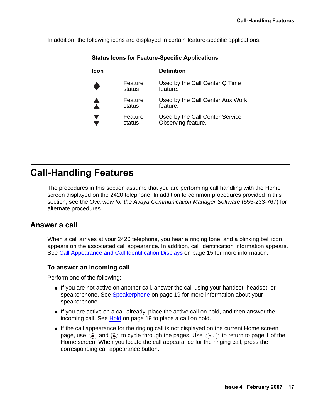| <b>Status Icons for Feature-Specific Applications</b> |                   |                                                       |
|-------------------------------------------------------|-------------------|-------------------------------------------------------|
| Icon                                                  |                   | <b>Definition</b>                                     |
|                                                       | Feature<br>status | Used by the Call Center Q Time<br>feature.            |
| $\blacktriangle$                                      | Feature<br>status | Used by the Call Center Aux Work<br>feature.          |
|                                                       | Feature<br>status | Used by the Call Center Service<br>Observing feature. |

In addition, the following icons are displayed in certain feature-specific applications.

# <span id="page-16-0"></span>**Call-Handling Features**

The procedures in this section assume that you are performing call handling with the Home screen displayed on the 2420 telephone. In addition to common procedures provided in this section, see the *Overview for the Avaya Communication Manager Software* (555-233-767) for alternate procedures.

## <span id="page-16-1"></span>**Answer a call**

When a call arrives at your 2420 telephone, you hear a ringing tone, and a blinking bell icon appears on the associated call appearance. In addition, call identification information appears. See [Call Appearance and Call Identification Displays](#page-14-0) on page 15 for more information.

### **To answer an incoming call**

Perform one of the following:

- If you are not active on another call, answer the call using your handset, headset, or speakerphone. See [Speakerphone](#page-18-2) on page 19 for more information about your speakerphone.
- If you are active on a call already, place the active call on hold, and then answer the incoming call. See Hold [on page 19](#page-18-0) to place a call on hold.
- If the call appearance for the ringing call is not displayed on the current Home screen page, use  $\leq$  and  $\geq$  to cycle through the pages. Use  $\leq$  to return to page 1 of the Home screen. When you locate the call appearance for the ringing call, press the corresponding call appearance button.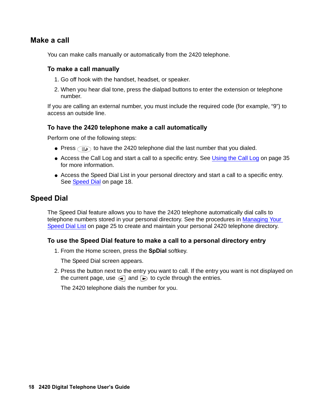## <span id="page-17-0"></span>**Make a call**

You can make calls manually or automatically from the 2420 telephone.

#### **To make a call manually**

- 1. Go off hook with the handset, headset, or speaker.
- 2. When you hear dial tone, press the dialpad buttons to enter the extension or telephone number.

If you are calling an external number, you must include the required code (for example, "9") to access an outside line.

### **To have the 2420 telephone make a call automatically**

Perform one of the following steps:

- Press  $\binom{m}{n}$  to have the 2420 telephone dial the last number that you dialed.
- Access the Call Log and start a call to a specific entry. See [Using the Call Log](#page-34-0) on page 35 for more information.
- Access the Speed Dial List in your personal directory and start a call to a specific entry. See Speed Dial [on page 18.](#page-17-1)

## <span id="page-17-1"></span>**Speed Dial**

The Speed Dial feature allows you to have the 2420 telephone automatically dial calls to telephone numbers stored in your personal directory. See the procedures in [Managing Your](#page-24-0)  [Speed Dial List](#page-24-0) on page 25 to create and maintain your personal 2420 telephone directory.

#### **To use the Speed Dial feature to make a call to a personal directory entry**

1. From the Home screen, press the **SpDial** softkey.

The Speed Dial screen appears.

2. Press the button next to the entry you want to call. If the entry you want is not displayed on the current page, use  $\leq$  and  $\geq$  to cycle through the entries.

The 2420 telephone dials the number for you.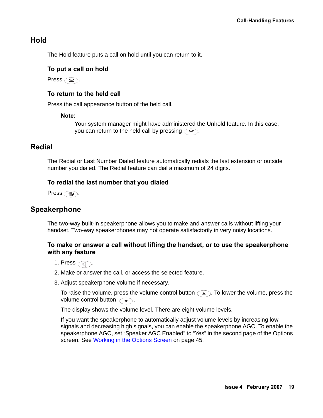## <span id="page-18-0"></span>**Hold**

The Hold feature puts a call on hold until you can return to it.

### **To put a call on hold**

Press  $\mathbf{P}$ .

#### **To return to the held call**

Press the call appearance button of the held call.

#### **Note:**

Your system manager might have administered the Unhold feature. In this case, you can return to the held call by pressing  $\left(\mathbf{P}\right)$ .

## <span id="page-18-1"></span>**Redial**

The Redial or Last Number Dialed feature automatically redials the last extension or outside number you dialed. The Redial feature can dial a maximum of 24 digits.

### **To redial the last number that you dialed**

 $Press \overline{m}$ .

## <span id="page-18-2"></span>**Speakerphone**

The two-way built-in speakerphone allows you to make and answer calls without lifting your handset. Two-way speakerphones may not operate satisfactorily in very noisy locations.

### **To make or answer a call without lifting the handset, or to use the speakerphone with any feature**

- 1. Press  $\textcircled{1}$ .
- 2. Make or answer the call, or access the selected feature.
- 3. Adjust speakerphone volume if necessary.

To raise the volume, press the volume control button  $\textcircled{1}$ . To lower the volume, press the volume control button  $\widehat{(\bullet)}$ .

The display shows the volume level. There are eight volume levels.

If you want the speakerphone to automatically adjust volume levels by increasing low signals and decreasing high signals, you can enable the speakerphone AGC. To enable the speakerphone AGC, set "Speaker AGC Enabled" to "Yes" in the second page of the Options screen. See [Working in the Options Screen](#page-44-0) on page 45.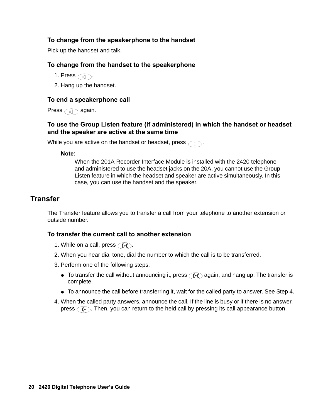### **To change from the speakerphone to the handset**

Pick up the handset and talk.

### **To change from the handset to the speakerphone**

- 1. Press  $\textcircled{f}$ .
- 2. Hang up the handset.

#### **To end a speakerphone call**

Press  $\textcircled{r}$  again.

### **To use the Group Listen feature (if administered) in which the handset or headset and the speaker are active at the same time**

While you are active on the handset or headset, press  $\textcircled{f}$ .

**Note:**

When the 201A Recorder Interface Module is installed with the 2420 telephone and administered to use the headset jacks on the 20A, you cannot use the Group Listen feature in which the headset and speaker are active simultaneously. In this case, you can use the handset and the speaker.

## <span id="page-19-0"></span>**Transfer**

The Transfer feature allows you to transfer a call from your telephone to another extension or outside number.

#### **To transfer the current call to another extension**

- 1. While on a call, press  $\widehat{A}$ .
- 2. When you hear dial tone, dial the number to which the call is to be transferred.
- 3. Perform one of the following steps:
	- To transfer the call without announcing it, press  $\widehat{P}(a)$  again, and hang up. The transfer is complete.
	- To announce the call before transferring it, wait for the called party to answer. See Step 4.
- 4. When the called party answers, announce the call. If the line is busy or if there is no answer, press  $\overline{(\}$ . Then, you can return to the held call by pressing its call appearance button.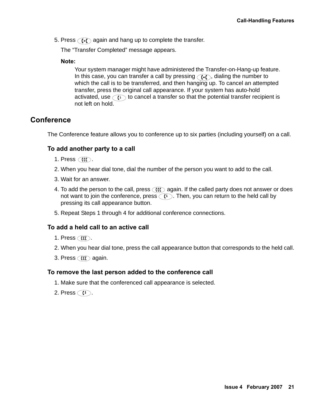5. Press  $\widehat{A}$  again and hang up to complete the transfer.

The "Transfer Completed" message appears.

#### **Note:**

Your system manager might have administered the Transfer-on-Hang-up feature. In this case, you can transfer a call by pressing  $\mathbb{C}$ , dialing the number to which the call is to be transferred, and then hanging up. To cancel an attempted transfer, press the original call appearance. If your system has auto-hold activated, use  $\widehat{A}$  to cancel a transfer so that the potential transfer recipient is not left on hold.

## <span id="page-20-0"></span>**Conference**

The Conference feature allows you to conference up to six parties (including yourself) on a call.

#### **To add another party to a call**

- 1. Press  $(1)$ .
- 2. When you hear dial tone, dial the number of the person you want to add to the call.
- 3. Wait for an answer.
- 4. To add the person to the call, press  $\langle \mathfrak{m} \rangle$  again. If the called party does not answer or does not want to join the conference, press  $\widehat{F}(T)$ . Then, you can return to the held call by pressing its call appearance button.
- 5. Repeat Steps 1 through 4 for additional conference connections.

#### **To add a held call to an active call**

- 1. Press  $(1)$ .
- 2. When you hear dial tone, press the call appearance button that corresponds to the held call.
- 3. Press  $\widehat{uv}$  again.

#### **To remove the last person added to the conference call**

- 1. Make sure that the conferenced call appearance is selected.
- 2. Press  $\mathbb{C}$ .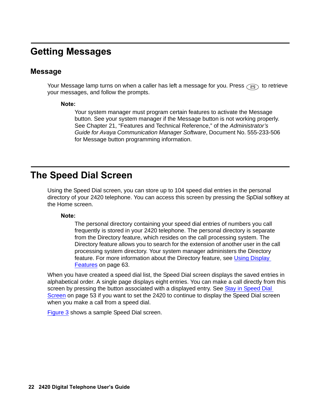# <span id="page-21-0"></span>**Getting Messages**

## <span id="page-21-1"></span>**Message**

Your Message lamp turns on when a caller has left a message for you. Press  $\widehat{\otimes}$  to retrieve your messages, and follow the prompts.

#### **Note:**

Your system manager must program certain features to activate the Message button. See your system manager if the Message button is not working properly. See Chapter 21, "Features and Technical Reference," of the *Administrator's Guide for Avaya Communication Manager Software*, Document No. 555-233-506 for Message button programming information.

# <span id="page-21-2"></span>**The Speed Dial Screen**

Using the Speed Dial screen, you can store up to 104 speed dial entries in the personal directory of your 2420 telephone. You can access this screen by pressing the SpDial softkey at the Home screen.

#### **Note:**

The personal directory containing your speed dial entries of numbers you call frequently is stored in your 2420 telephone. The personal directory is separate from the Directory feature, which resides on the call processing system. The Directory feature allows you to search for the extension of another user in the call processing system directory. Your system manager administers the Directory feature. For more information about the Directory feature, see Using Display Features [on page 63.](#page-62-0)

When you have created a speed dial list, the Speed Dial screen displays the saved entries in alphabetical order. A single page displays eight entries. You can make a call directly from this screen by pressing the button associated with a displayed entry. See [Stay in Speed Dial](#page-52-0)  Screen [on page 53](#page-52-0) if you want to set the 2420 to continue to display the Speed Dial screen when you make a call from a speed dial.

[Figure 3](#page-22-0) shows a sample Speed Dial screen.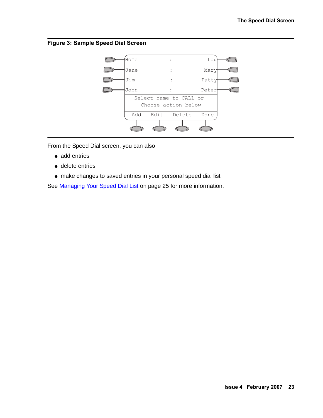<span id="page-22-0"></span>**Figure 3: Sample Speed Dial Screen**



From the Speed Dial screen, you can also

- add entries
- delete entries
- make changes to saved entries in your personal speed dial list

See [Managing Your Speed Dial List](#page-24-0) on page 25 for more information.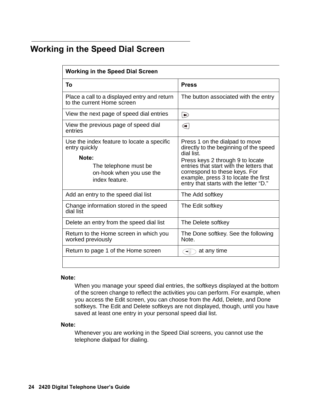# <span id="page-23-0"></span>**Working in the Speed Dial Screen**

### **Working in the Speed Dial Screen**

| Тο                                                                         | <b>Press</b>                                                                                                                                                                                    |
|----------------------------------------------------------------------------|-------------------------------------------------------------------------------------------------------------------------------------------------------------------------------------------------|
| Place a call to a displayed entry and return<br>to the current Home screen | The button associated with the entry                                                                                                                                                            |
| View the next page of speed dial entries                                   | $\blacktriangleright$                                                                                                                                                                           |
| View the previous page of speed dial<br>entries                            | $\left( \blacksquare \right)$                                                                                                                                                                   |
| Use the index feature to locate a specific<br>entry quickly<br>Note:       | Press 1 on the dialpad to move<br>directly to the beginning of the speed<br>dial list.                                                                                                          |
| The telephone must be<br>on-hook when you use the<br>index feature.        | Press keys 2 through 9 to locate<br>entries that start with the letters that<br>correspond to these keys. For<br>example, press 3 to locate the first<br>entry that starts with the letter "D." |
| Add an entry to the speed dial list                                        | The Add softkey                                                                                                                                                                                 |
| Change information stored in the speed<br>dial list                        | The Edit softkey                                                                                                                                                                                |
| Delete an entry from the speed dial list                                   | The Delete softkey                                                                                                                                                                              |
| Return to the Home screen in which you<br>worked previously                | The Done softkey. See the following<br>Note.                                                                                                                                                    |
| Return to page 1 of the Home screen                                        | at any time<br>$\widehat{\mathbb{H}}$                                                                                                                                                           |
|                                                                            |                                                                                                                                                                                                 |

#### **Note:**

When you manage your speed dial entries, the softkeys displayed at the bottom of the screen change to reflect the activities you can perform. For example, when you access the Edit screen, you can choose from the Add, Delete, and Done softkeys. The Edit and Delete softkeys are not displayed, though, until you have saved at least one entry in your personal speed dial list.

#### **Note:**

Whenever you are working in the Speed Dial screens, you cannot use the telephone dialpad for dialing.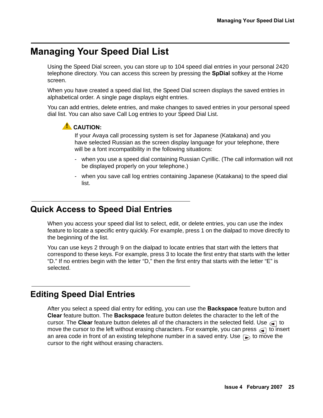# <span id="page-24-0"></span>**Managing Your Speed Dial List**

Using the Speed Dial screen, you can store up to 104 speed dial entries in your personal 2420 telephone directory. You can access this screen by pressing the **SpDial** softkey at the Home screen.

When you have created a speed dial list, the Speed Dial screen displays the saved entries in alphabetical order. A single page displays eight entries.

You can add entries, delete entries, and make changes to saved entries in your personal speed dial list. You can also save Call Log entries to your Speed Dial List.

## **! CAUTION:**

If your Avaya call processing system is set for Japanese (Katakana) and you have selected Russian as the screen display language for your telephone, there will be a font incompatibility in the following situations:

- when you use a speed dial containing Russian Cyrillic. (The call information will not be displayed properly on your telephone.)
- when you save call log entries containing Japanese (Katakana) to the speed dial list.

# <span id="page-24-1"></span>**Quick Access to Speed Dial Entries**

When you access your speed dial list to select, edit, or delete entries, you can use the index feature to locate a specific entry quickly. For example, press 1 on the dialpad to move directly to the beginning of the list.

You can use keys 2 through 9 on the dialpad to locate entries that start with the letters that correspond to these keys. For example, press 3 to locate the first entry that starts with the letter "D." If no entries begin with the letter "D," then the first entry that starts with the letter "E" is selected.

# <span id="page-24-2"></span>**Editing Speed Dial Entries**

After you select a speed dial entry for editing, you can use the **Backspace** feature button and **Clear** feature button. The **Backspace** feature button deletes the character to the left of the cursor. The **Clear** feature button deletes all of the characters in the selected field. Use  $\leq$  to move the cursor to the left without erasing characters. For example, you can press  $\bigtriangleup$  to insert an area code in front of an existing telephone number in a saved entry. Use  $\Box$  to move the cursor to the right without erasing characters.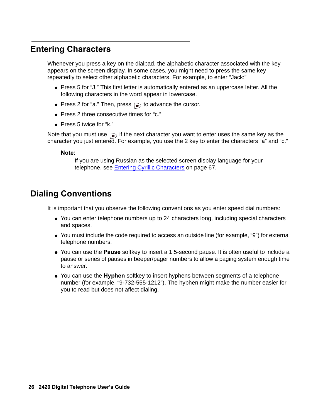# <span id="page-25-0"></span>**Entering Characters**

Whenever you press a key on the dialpad, the alphabetic character associated with the key appears on the screen display. In some cases, you might need to press the same key repeatedly to select other alphabetic characters. For example, to enter "Jack:"

- Press 5 for "J." This first letter is automatically entered as an uppercase letter. All the following characters in the word appear in lowercase.
- Press 2 for "a." Then, press  $\mathfrak{p}_0$  to advance the cursor.
- Press 2 three consecutive times for "c."
- Press 5 twice for "k."

Note that you must use  $\Rightarrow$  if the next character you want to enter uses the same key as the character you just entered. For example, you use the 2 key to enter the characters "a" and "c."

#### **Note:**

If you are using Russian as the selected screen display language for your telephone, see [Entering Cyrillic Characters](#page-66-0) on page 67.

## <span id="page-25-1"></span>**Dialing Conventions**

It is important that you observe the following conventions as you enter speed dial numbers:

- You can enter telephone numbers up to 24 characters long, including special characters and spaces.
- You must include the code required to access an outside line (for example, "9") for external telephone numbers.
- You can use the **Pause** softkey to insert a 1.5-second pause. It is often useful to include a pause or series of pauses in beeper/pager numbers to allow a paging system enough time to answer.
- You can use the **Hyphen** softkey to insert hyphens between segments of a telephone number (for example, "9-732-555-1212"). The hyphen might make the number easier for you to read but does not affect dialing.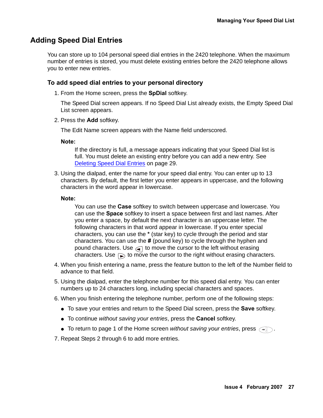## <span id="page-26-0"></span>**Adding Speed Dial Entries**

You can store up to 104 personal speed dial entries in the 2420 telephone. When the maximum number of entries is stored, you must delete existing entries before the 2420 telephone allows you to enter new entries.

### **To add speed dial entries to your personal directory**

1. From the Home screen, press the **SpDial** softkey.

The Speed Dial screen appears. If no Speed Dial List already exists, the Empty Speed Dial List screen appears.

2. Press the **Add** softkey.

The Edit Name screen appears with the Name field underscored.

#### **Note:**

If the directory is full, a message appears indicating that your Speed Dial list is full. You must delete an existing entry before you can add a new entry. See [Deleting Speed Dial Entries](#page-28-0) on page 29.

3. Using the dialpad, enter the name for your speed dial entry. You can enter up to 13 characters. By default, the first letter you enter appears in uppercase, and the following characters in the word appear in lowercase.

#### **Note:**

You can use the **Case** softkey to switch between uppercase and lowercase. You can use the **Space** softkey to insert a space between first and last names. After you enter a space, by default the next character is an uppercase letter. The following characters in that word appear in lowercase. If you enter special characters, you can use the **\*** (star key) to cycle through the period and star characters. You can use the **#** (pound key) to cycle through the hyphen and pound characters. Use  $\bigtriangleup$  to move the cursor to the left without erasing characters. Use  $\Box$  to move the cursor to the right without erasing characters.

- 4. When you finish entering a name, press the feature button to the left of the Number field to advance to that field.
- 5. Using the dialpad, enter the telephone number for this speed dial entry. You can enter numbers up to 24 characters long, including special characters and spaces.
- 6. When you finish entering the telephone number, perform one of the following steps:
	- To save your entries and return to the Speed Dial screen, press the **Save** softkey.
	- To continue *without saving your entries*, press the **Cancel** softkey.
	- To return to page 1 of the Home screen *without saving your entries*, press  $\widehat{A}$ .
- 7. Repeat Steps 2 through 6 to add more entries.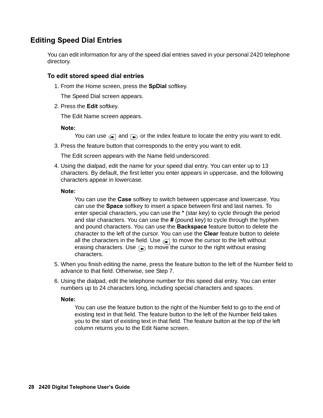## <span id="page-27-0"></span>**Editing Speed Dial Entries**

You can edit information for any of the speed dial entries saved in your personal 2420 telephone directory.

### **To edit stored speed dial entries**

1. From the Home screen, press the **SpDial** softkey.

The Speed Dial screen appears.

2. Press the **Edit** softkey.

The Edit Name screen appears.

#### **Note:**

You can use  $\bigcirc$  and  $\bigcirc$  or the index feature to locate the entry you want to edit.

3. Press the feature button that corresponds to the entry you want to edit.

The Edit screen appears with the Name field underscored.

4. Using the dialpad, edit the name for your speed dial entry. You can enter up to 13 characters. By default, the first letter you enter appears in uppercase, and the following characters appear in lowercase.

#### **Note:**

You can use the **Case** softkey to switch between uppercase and lowercase. You can use the **Space** softkey to insert a space between first and last names. To enter special characters, you can use the **\*** (star key) to cycle through the period and star characters. You can use the **#** (pound key) to cycle through the hyphen and pound characters. You can use the **Backspace** feature button to delete the character to the left of the cursor. You can use the **Clear** feature button to delete all the characters in the field. Use  $\bigtriangleup$  to move the cursor to the left without erasing characters. Use  $\Box$  to move the cursor to the right without erasing characters.

- 5. When you finish editing the name, press the feature button to the left of the Number field to advance to that field. Otherwise, see Step 7.
- 6. Using the dialpad, edit the telephone number for this speed dial entry. You can enter numbers up to 24 characters long, including special characters and spaces.

#### **Note:**

You can use the feature button to the right of the Number field to go to the end of existing text in that field. The feature button to the left of the Number field takes you to the start of existing text in that field. The feature button at the top of the left column returns you to the Edit Name screen.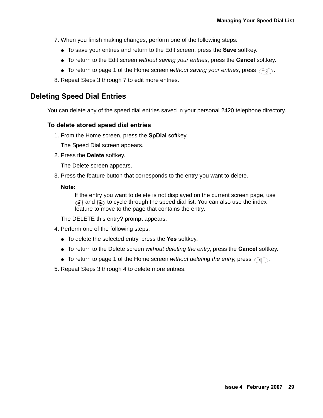7. When you finish making changes, perform one of the following steps:

- To save your entries and return to the Edit screen, press the **Save** softkey.
- To return to the Edit screen *without saving your entries*, press the **Cancel** softkey.
- To return to page 1 of the Home screen *without saving your entries*, press  $\widehat{A}$ .

8. Repeat Steps 3 through 7 to edit more entries.

## <span id="page-28-0"></span>**Deleting Speed Dial Entries**

You can delete any of the speed dial entries saved in your personal 2420 telephone directory.

#### **To delete stored speed dial entries**

1. From the Home screen, press the **SpDial** softkey.

The Speed Dial screen appears.

2. Press the **Delete** softkey.

The Delete screen appears.

3. Press the feature button that corresponds to the entry you want to delete.

#### **Note:**

If the entry you want to delete is not displayed on the current screen page, use  $\leq$  and  $\geq$  to cycle through the speed dial list. You can also use the index feature to move to the page that contains the entry.

The DELETE this entry? prompt appears.

- 4. Perform one of the following steps:
	- To delete the selected entry, press the **Yes** softkey.
	- To return to the Delete screen *without deleting the entry*, press the **Cancel** softkey.
	- To return to page 1 of the Home screen *without deleting the entry*, press  $\widehat{f}$ .
- 5. Repeat Steps 3 through 4 to delete more entries.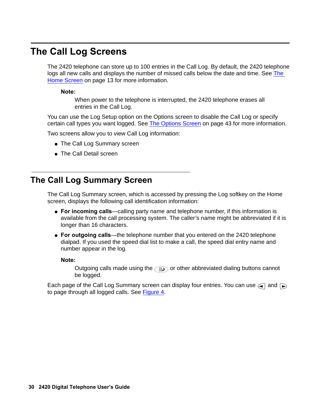# <span id="page-29-0"></span>**The Call Log Screens**

The 2420 telephone can store up to 100 entries in the Call Log. By default, the 2420 telephone logs all new calls and displays the number of missed calls below the date and time. See [The](#page-12-0)  [Home Screen](#page-12-0) on page 13 for more information.

**Note:**

When power to the telephone is interrupted, the 2420 telephone erases all entries in the Call Log.

You can use the Log Setup option on the Options screen to disable the Call Log or specify certain call types you want logged. See [The Options Screen](#page-42-0) on page 43 for more information.

Two screens allow you to view Call Log information:

- The Call Log Summary screen
- The Call Detail screen

# <span id="page-29-1"></span>**The Call Log Summary Screen**

The Call Log Summary screen, which is accessed by pressing the Log softkey on the Home screen, displays the following call identification information:

- **For incoming calls**—calling party name and telephone number, if this information is available from the call processing system. The caller's name might be abbreviated if it is longer than 16 characters.
- **For outgoing calls**—the telephone number that you entered on the 2420 telephone dialpad. If you used the speed dial list to make a call, the speed dial entry name and number appear in the log.

#### **Note:**

Outgoing calls made using the  $\overline{m}$  or other abbreviated dialing buttons cannot be logged.

Each page of the Call Log Summary screen can display four entries. You can use  $\bigtriangleup$  and  $\bigtriangledown$ to page through all logged calls. See [Figure 4.](#page-30-0)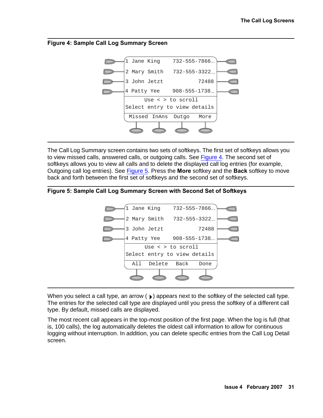<span id="page-30-0"></span>**Figure 4: Sample Call Log Summary Screen** 



The Call Log Summary screen contains two sets of softkeys. The first set of softkeys allows you to view missed calls, answered calls, or outgoing calls. See [Figure 4.](#page-30-0) The second set of softkeys allows you to view all calls and to delete the displayed call log entries (for example, Outgoing call log entries). See [Figure 5](#page-30-1). Press the **More** softkey and the **Back** softkey to move back and forth between the first set of softkeys and the second set of softkeys.

<span id="page-30-1"></span>



When you select a call type, an arrow  $( \ )$  appears next to the softkey of the selected call type. The entries for the selected call type are displayed until you press the softkey of a different call type. By default, missed calls are displayed.

The most recent call appears in the top-most position of the first page. When the log is full (that is, 100 calls), the log automatically deletes the oldest call information to allow for continuous logging without interruption. In addition, you can delete specific entries from the Call Log Detail screen.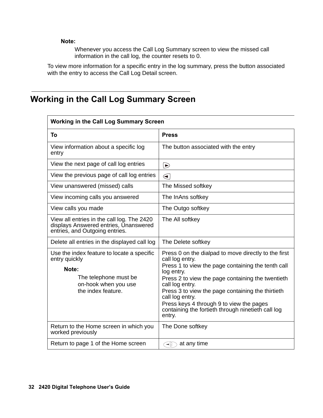#### **Note:**

Whenever you access the Call Log Summary screen to view the missed call information in the call log, the counter resets to 0.

To view more information for a specific entry in the log summary, press the button associated with the entry to access the Call Log Detail screen.

# <span id="page-31-0"></span>**Working in the Call Log Summary Screen**

| <b>Working in the Call Log Summary Screen</b>                                                                                               |                                                                                                                                                                                                                                                                                                                                                                                                         |  |
|---------------------------------------------------------------------------------------------------------------------------------------------|---------------------------------------------------------------------------------------------------------------------------------------------------------------------------------------------------------------------------------------------------------------------------------------------------------------------------------------------------------------------------------------------------------|--|
| To                                                                                                                                          | <b>Press</b>                                                                                                                                                                                                                                                                                                                                                                                            |  |
| View information about a specific log<br>entry                                                                                              | The button associated with the entry                                                                                                                                                                                                                                                                                                                                                                    |  |
| View the next page of call log entries                                                                                                      | $\blacktriangleright$                                                                                                                                                                                                                                                                                                                                                                                   |  |
| View the previous page of call log entries                                                                                                  | $\bigodot$                                                                                                                                                                                                                                                                                                                                                                                              |  |
| View unanswered (missed) calls                                                                                                              | The Missed softkey                                                                                                                                                                                                                                                                                                                                                                                      |  |
| View incoming calls you answered                                                                                                            | The InAns softkey                                                                                                                                                                                                                                                                                                                                                                                       |  |
| View calls you made                                                                                                                         | The Outgo softkey                                                                                                                                                                                                                                                                                                                                                                                       |  |
| View all entries in the call log. The 2420<br>displays Answered entries, Unanswered<br>entries, and Outgoing entries.                       | The All softkey                                                                                                                                                                                                                                                                                                                                                                                         |  |
| Delete all entries in the displayed call log                                                                                                | The Delete softkey                                                                                                                                                                                                                                                                                                                                                                                      |  |
| Use the index feature to locate a specific<br>entry quickly<br>Note:<br>The telephone must be<br>on-hook when you use<br>the index feature. | Press 0 on the dialpad to move directly to the first<br>call log entry.<br>Press 1 to view the page containing the tenth call<br>log entry.<br>Press 2 to view the page containing the twentieth<br>call log entry.<br>Press 3 to view the page containing the thirtieth<br>call log entry.<br>Press keys 4 through 9 to view the pages<br>containing the fortieth through ninetieth call log<br>entry. |  |
| Return to the Home screen in which you<br>worked previously                                                                                 | The Done softkey                                                                                                                                                                                                                                                                                                                                                                                        |  |
| Return to page 1 of the Home screen                                                                                                         | at any time<br>$\widehat{\mathbb{F}}$                                                                                                                                                                                                                                                                                                                                                                   |  |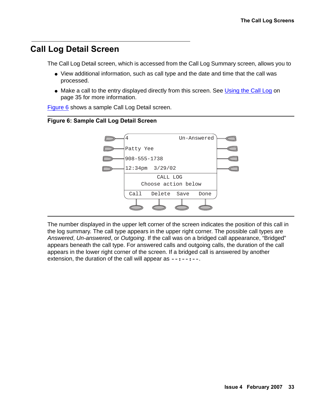# <span id="page-32-0"></span>**Call Log Detail Screen**

The Call Log Detail screen, which is accessed from the Call Log Summary screen, allows you to

- View additional information, such as call type and the date and time that the call was processed.
- Make a call to the entry displayed directly from this screen. See [Using the Call Log](#page-34-0) on [page 35](#page-34-0) for more information.

[Figure 6](#page-32-1) shows a sample Call Log Detail screen.

<span id="page-32-1"></span>**Figure 6: Sample Call Log Detail Screen**



The number displayed in the upper left corner of the screen indicates the position of this call in the log summary. The call type appears in the upper right corner. The possible call types are *Answered*, *Un-answered*, or *Outgoing*. If the call was on a bridged call appearance, "Bridged" appears beneath the call type. For answered calls and outgoing calls, the duration of the call appears in the lower right corner of the screen. If a bridged call is answered by another extension, the duration of the call will appear as **--:--:--**.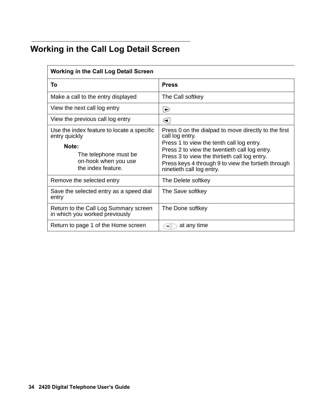# <span id="page-33-0"></span>**Working in the Call Log Detail Screen**

## **Working in the Call Log Detail Screen**

| To                                                                           | <b>Press</b>                                                                                                                                                                                                                    |
|------------------------------------------------------------------------------|---------------------------------------------------------------------------------------------------------------------------------------------------------------------------------------------------------------------------------|
| Make a call to the entry displayed                                           | The Call softkey                                                                                                                                                                                                                |
| View the next call log entry                                                 | $\blacktriangleright$                                                                                                                                                                                                           |
| View the previous call log entry                                             | $\ominus$ )                                                                                                                                                                                                                     |
| Use the index feature to locate a specific<br>entry quickly                  | Press 0 on the dialpad to move directly to the first<br>call log entry.                                                                                                                                                         |
| Note:<br>The telephone must be<br>on-hook when you use<br>the index feature. | Press 1 to view the tenth call log entry.<br>Press 2 to view the twentieth call log entry.<br>Press 3 to view the thirtieth call log entry.<br>Press keys 4 through 9 to view the fortieth through<br>ninetieth call log entry. |
| Remove the selected entry                                                    | The Delete softkey                                                                                                                                                                                                              |
| Save the selected entry as a speed dial<br>entry                             | The Save softkey                                                                                                                                                                                                                |
| Return to the Call Log Summary screen<br>in which you worked previously      | The Done softkey                                                                                                                                                                                                                |
| Return to page 1 of the Home screen                                          | at any time<br>ั∍[]                                                                                                                                                                                                             |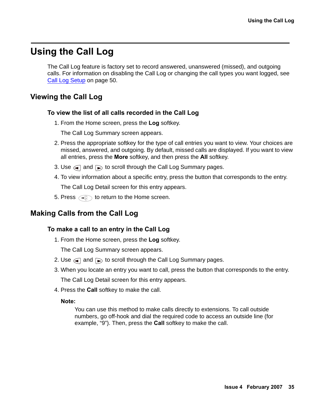# <span id="page-34-0"></span>**Using the Call Log**

The Call Log feature is factory set to record answered, unanswered (missed), and outgoing calls. For information on disabling the Call Log or changing the call types you want logged, see [Call Log Setup](#page-49-0) on page 50.

## <span id="page-34-1"></span>**Viewing the Call Log**

### **To view the list of all calls recorded in the Call Log**

1. From the Home screen, press the **Log** softkey.

The Call Log Summary screen appears.

- 2. Press the appropriate softkey for the type of call entries you want to view. Your choices are missed, answered, and outgoing. By default, missed calls are displayed. If you want to view all entries, press the **More** softkey, and then press the **All** softkey.
- 3. Use  $\bigcirc$  and  $\bigcirc$  to scroll through the Call Log Summary pages.
- 4. To view information about a specific entry, press the button that corresponds to the entry.

The Call Log Detail screen for this entry appears.

5. Press  $\widehat{\mathcal{F}(\mathbb{R})}$  to return to the Home screen.

## <span id="page-34-2"></span>**Making Calls from the Call Log**

## **To make a call to an entry in the Call Log**

1. From the Home screen, press the **Log** softkey.

The Call Log Summary screen appears.

- 2. Use  $\bigcirc$  and  $\bigcirc$  to scroll through the Call Log Summary pages.
- 3. When you locate an entry you want to call, press the button that corresponds to the entry. The Call Log Detail screen for this entry appears.
- 4. Press the **Call** softkey to make the call.

#### **Note:**

You can use this method to make calls directly to extensions. To call outside numbers, go off-hook and dial the required code to access an outside line (for example, "9"). Then, press the **Call** softkey to make the call.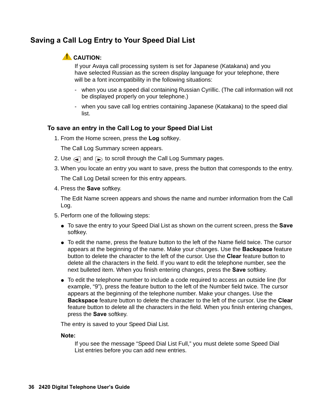## <span id="page-35-0"></span>**Saving a Call Log Entry to Your Speed Dial List**

## **! CAUTION:**

If your Avaya call processing system is set for Japanese (Katakana) and you have selected Russian as the screen display language for your telephone, there will be a font incompatibility in the following situations:

- when you use a speed dial containing Russian Cyrillic. (The call information will not be displayed properly on your telephone.)
- when you save call log entries containing Japanese (Katakana) to the speed dial list.

### **To save an entry in the Call Log to your Speed Dial List**

1. From the Home screen, press the **Log** softkey.

The Call Log Summary screen appears.

- 2. Use  $\bigcirc$  and  $\bigcirc$  to scroll through the Call Log Summary pages.
- 3. When you locate an entry you want to save, press the button that corresponds to the entry. The Call Log Detail screen for this entry appears.
- 4. Press the **Save** softkey.

The Edit Name screen appears and shows the name and number information from the Call Log.

- 5. Perform one of the following steps:
	- To save the entry to your Speed Dial List as shown on the current screen, press the **Save** softkey.
	- To edit the name, press the feature button to the left of the Name field twice. The cursor appears at the beginning of the name. Make your changes. Use the **Backspace** feature button to delete the character to the left of the cursor. Use the **Clear** feature button to delete all the characters in the field. If you want to edit the telephone number, see the next bulleted item. When you finish entering changes, press the **Save** softkey.
	- To edit the telephone number to include a code required to access an outside line (for example, "9"), press the feature button to the left of the Number field twice. The cursor appears at the beginning of the telephone number. Make your changes. Use the **Backspace** feature button to delete the character to the left of the cursor. Use the **Clear** feature button to delete all the characters in the field. When you finish entering changes, press the **Save** softkey.

The entry is saved to your Speed Dial List.

#### **Note:**

If you see the message "Speed Dial List Full," you must delete some Speed Dial List entries before you can add new entries.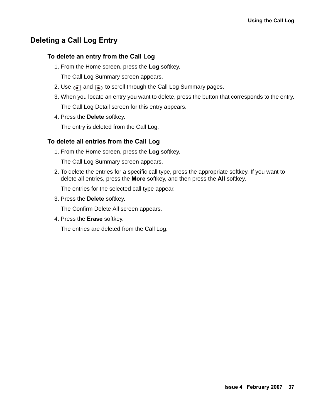## **Deleting a Call Log Entry**

#### **To delete an entry from the Call Log**

1. From the Home screen, press the **Log** softkey.

The Call Log Summary screen appears.

- 2. Use  $\bigcirc$  and  $\bigcirc$  to scroll through the Call Log Summary pages.
- 3. When you locate an entry you want to delete, press the button that corresponds to the entry. The Call Log Detail screen for this entry appears.
- 4. Press the **Delete** softkey.

The entry is deleted from the Call Log.

#### **To delete all entries from the Call Log**

1. From the Home screen, press the **Log** softkey.

The Call Log Summary screen appears.

2. To delete the entries for a specific call type, press the appropriate softkey. If you want to delete all entries, press the **More** softkey, and then press the **All** softkey.

The entries for the selected call type appear.

3. Press the **Delete** softkey.

The Confirm Delete All screen appears.

4. Press the **Erase** softkey.

The entries are deleted from the Call Log.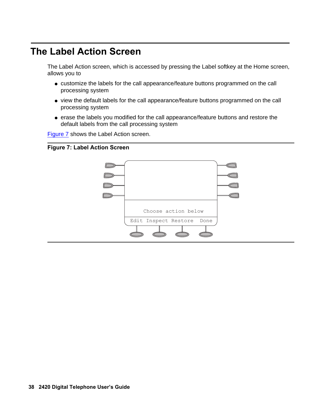# **The Label Action Screen**

The Label Action screen, which is accessed by pressing the Label softkey at the Home screen, allows you to

- <span id="page-37-1"></span>● customize the labels for the call appearance/feature buttons programmed on the call processing system
- view the default labels for the call appearance/feature buttons programmed on the call processing system
- erase the labels you modified for the call appearance/feature buttons and restore the default labels from the call processing system

[Figure 7](#page-37-0) shows the Label Action screen.

#### <span id="page-37-0"></span>**Figure 7: Label Action Screen**

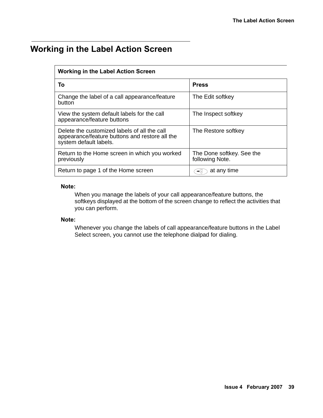## **Working in the Label Action Screen**

#### <span id="page-38-0"></span>**Working in the Label Action Screen**

| Τo                                                                                                                       | <b>Press</b>                                 |
|--------------------------------------------------------------------------------------------------------------------------|----------------------------------------------|
| Change the label of a call appearance/feature<br>button                                                                  | The Edit softkey                             |
| View the system default labels for the call<br>appearance/feature buttons                                                | The Inspect softkey                          |
| Delete the customized labels of all the call<br>appearance/feature buttons and restore all the<br>system default labels. | The Restore softkey                          |
| Return to the Home screen in which you worked<br>previously                                                              | The Done softkey. See the<br>following Note. |
| Return to page 1 of the Home screen                                                                                      | at any time                                  |

#### **Note:**

When you manage the labels of your call appearance/feature buttons, the softkeys displayed at the bottom of the screen change to reflect the activities that you can perform.

#### **Note:**

Whenever you change the labels of call appearance/feature buttons in the Label Select screen, you cannot use the telephone dialpad for dialing.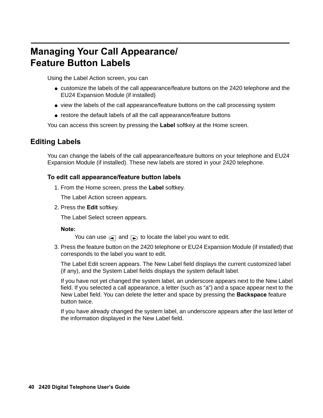# **Managing Your Call Appearance/ Feature Button Labels**

Using the Label Action screen, you can

- <span id="page-39-1"></span>● customize the labels of the call appearance/feature buttons on the 2420 telephone and the EU24 Expansion Module (if installed)
- view the labels of the call appearance/feature buttons on the call processing system
- restore the default labels of all the call appearance/feature buttons

You can access this screen by pressing the **Label** softkey at the Home screen.

## <span id="page-39-0"></span>**Editing Labels**

You can change the labels of the call appearance/feature buttons on your telephone and EU24 Expansion Module (if installed). These new labels are stored in your 2420 telephone.

#### **To edit call appearance/feature button labels**

1. From the Home screen, press the **Label** softkey.

The Label Action screen appears.

2. Press the **Edit** softkey.

The Label Select screen appears.

#### **Note:**

You can use  $\bigcirc$  and  $\bigcirc$  to locate the label you want to edit.

3. Press the feature button on the 2420 telephone or EU24 Expansion Module (if installed) that corresponds to the label you want to edit.

The Label Edit screen appears. The New Label field displays the current customized label (if any), and the System Label fields displays the system default label.

If you have not yet changed the system label, an underscore appears next to the New Label field. If you selected a call appearance, a letter (such as "a") and a space appear next to the New Label field. You can delete the letter and space by pressing the **Backspace** feature button twice.

If you have already changed the system label, an underscore appears after the last letter of the information displayed in the New Label field.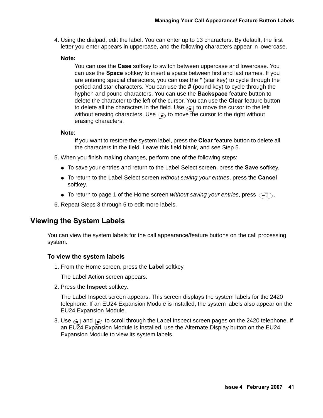4. Using the dialpad, edit the label. You can enter up to 13 characters. By default, the first letter you enter appears in uppercase, and the following characters appear in lowercase.

#### **Note:**

<span id="page-40-0"></span>You can use the **Case** softkey to switch between uppercase and lowercase. You can use the **Space** softkey to insert a space between first and last names. If you are entering special characters, you can use the **\*** (star key) to cycle through the period and star characters. You can use the **#** (pound key) to cycle through the hyphen and pound characters. You can use the **Backspace** feature button to delete the character to the left of the cursor. You can use the **Clear** feature button to delete all the characters in the field. Use  $\mathcal{A}$  to move the cursor to the left without erasing characters. Use  $\Box$  to move the cursor to the right without erasing characters.

#### **Note:**

If you want to restore the system label, press the **Clear** feature button to delete all the characters in the field. Leave this field blank, and see Step 5.

- 5. When you finish making changes, perform one of the following steps:
	- To save your entries and return to the Label Select screen, press the **Save** softkey.
	- To return to the Label Select screen *without saving your entries*, press the **Cancel** softkey.
	- To return to page 1 of the Home screen *without saving your entries*, press  $\widehat{f}$ .
- 6. Repeat Steps 3 through 5 to edit more labels.

#### **Viewing the System Labels**

You can view the system labels for the call appearance/feature buttons on the call processing system.

#### **To view the system labels**

1. From the Home screen, press the **Label** softkey.

The Label Action screen appears.

2. Press the **Inspect** softkey.

The Label Inspect screen appears. This screen displays the system labels for the 2420 telephone. If an EU24 Expansion Module is installed, the system labels also appear on the EU24 Expansion Module.

3. Use  $\leq$  and  $\geq$  to scroll through the Label Inspect screen pages on the 2420 telephone. If an EU24 Expansion Module is installed, use the Alternate Display button on the EU24 Expansion Module to view its system labels.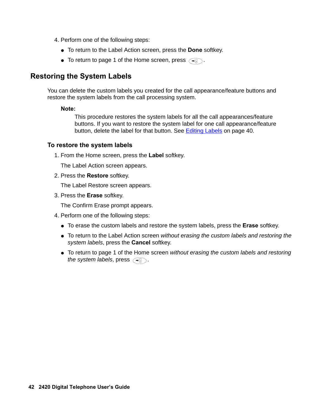- 4. Perform one of the following steps:
	- To return to the Label Action screen, press the **Done** softkey.
	- To return to page 1 of the Home screen, press  $\widehat{f}(\widehat{f})$ .

## **Restoring the System Labels**

You can delete the custom labels you created for the call appearance/feature buttons and restore the system labels from the call processing system.

#### **Note:**

This procedure restores the system labels for all the call appearances/feature buttons. If you want to restore the system label for one call appearance/feature button, delete the label for that button. See [Editing Labels](#page-39-0) on page 40.

#### **To restore the system labels**

1. From the Home screen, press the **Label** softkey.

The Label Action screen appears.

2. Press the **Restore** softkey.

The Label Restore screen appears.

3. Press the **Erase** softkey.

The Confirm Erase prompt appears.

- 4. Perform one of the following steps:
	- To erase the custom labels and restore the system labels, press the **Erase** softkey.
	- To return to the Label Action screen *without erasing the custom labels and restoring the system labels*, press the **Cancel** softkey.
	- To return to page 1 of the Home screen *without erasing the custom labels and restoring the system labels, press*  $\widehat{\mathbb{F}}$ .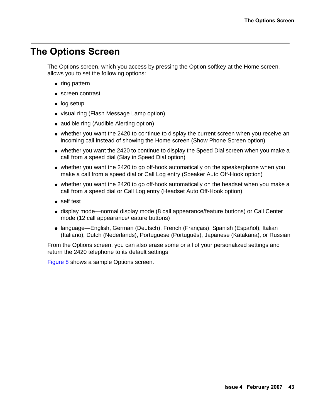# **The Options Screen**

<span id="page-42-0"></span>The Options screen, which you access by pressing the Option softkey at the Home screen, allows you to set the following options:

- ring pattern
- screen contrast
- log setup
- visual ring (Flash Message Lamp option)
- audible ring (Audible Alerting option)
- whether you want the 2420 to continue to display the current screen when you receive an incoming call instead of showing the Home screen (Show Phone Screen option)
- whether you want the 2420 to continue to display the Speed Dial screen when you make a call from a speed dial (Stay in Speed Dial option)
- whether you want the 2420 to go off-hook automatically on the speakerphone when you make a call from a speed dial or Call Log entry (Speaker Auto Off-Hook option)
- whether you want the 2420 to go off-hook automatically on the headset when you make a call from a speed dial or Call Log entry (Headset Auto Off-Hook option)
- self test
- display mode—normal display mode (8 call appearance/feature buttons) or Call Center mode (12 call appearance/feature buttons)
- language—English, German (Deutsch), French (Français), Spanish (Español), Italian (Italiano), Dutch (Nederlands), Portuguese (Português), Japanese (Katakana), or Russian

From the Options screen, you can also erase some or all of your personalized settings and return the 2420 telephone to its default settings

[Figure 8](#page-43-0) shows a sample Options screen.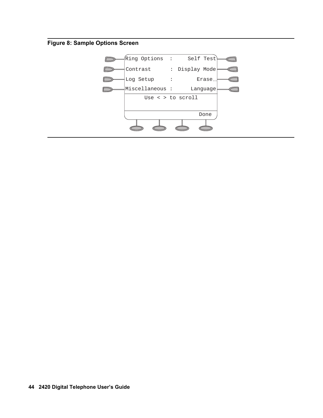#### <span id="page-43-0"></span>**Figure 8: Sample Options Screen**

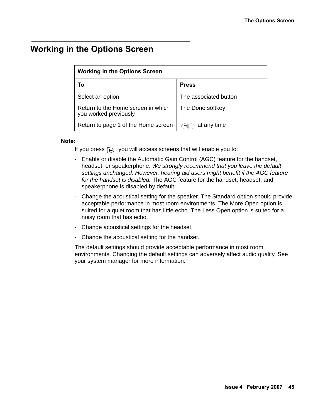## **Working in the Options Screen**

#### <span id="page-44-1"></span>**Working in the Options Screen**

| Τo                                                          | <b>Press</b>                           |  |  |  |  |  |
|-------------------------------------------------------------|----------------------------------------|--|--|--|--|--|
| Select an option                                            | The associated button                  |  |  |  |  |  |
| Return to the Home screen in which<br>you worked previously | The Done softkey                       |  |  |  |  |  |
| Return to page 1 of the Home screen                         | at any time<br>$\overline{\mathbb{F}}$ |  |  |  |  |  |

#### **Note:**

If you press  $\triangleright$ , you will access screens that will enable you to:

- <span id="page-44-0"></span>- Enable or disable the Automatic Gain Control (AGC) feature for the handset, headset, or speakerphone. *We strongly recommend that you leave the default settings unchanged. However, hearing aid users might benefit if the AGC feature for the handset is disabled.* The AGC feature for the handset, headset, and speakerphone is disabled by default.
- Change the acoustical setting for the speaker. The Standard option should provide acceptable performance in most room environments. The More Open option is suited for a quiet room that has little echo. The Less Open option is suited for a noisy room that has echo.
- Change acoustical settings for the headset.
- Change the acoustical setting for the handset.

The default settings should provide acceptable performance in most room environments. Changing the default settings can adversely affect audio quality. See your system manager for more information.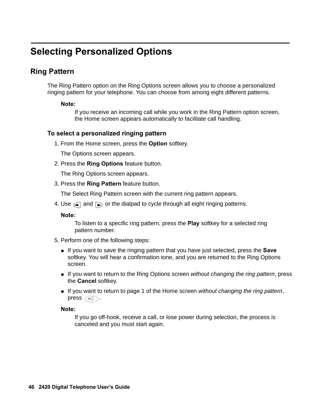# **Selecting Personalized Options**

## **Ring Pattern**

The Ring Pattern option on the Ring Options screen allows you to choose a personalized ringing pattern for your telephone. You can choose from among eight different patterns.

#### **Note:**

<span id="page-45-1"></span><span id="page-45-0"></span>If you receive an incoming call while you work in the Ring Pattern option screen, the Home screen appears automatically to facilitate call handling.

#### **To select a personalized ringing pattern**

1. From the Home screen, press the **Option** softkey.

The Options screen appears.

2. Press the **Ring Options** feature button.

The Ring Options screen appears.

3. Press the **Ring Pattern** feature button.

The Select Ring Pattern screen with the current ring pattern appears.

4. Use  $\leq$  and  $\geq$  or the dialpad to cycle through all eight ringing patterns.

**Note:**

<span id="page-45-3"></span><span id="page-45-2"></span>To listen to a specific ring pattern, press the **Play** softkey for a selected ring pattern number.

- 5. Perform one of the following steps:
	- If you want to save the ringing pattern that you have just selected, press the **Save** softkey. You will hear a confirmation tone, and you are returned to the Ring Options screen.
	- If you want to return to the Ring Options screen *without changing the ring pattern*, press the **Cancel** softkey.
	- If you want to return to page 1 of the Home screen *without changing the ring pattern*, press  $\widehat{f(x)}$ .

**Note:**

If you go off-hook, receive a call, or lose power during selection, the process is canceled and you must start again.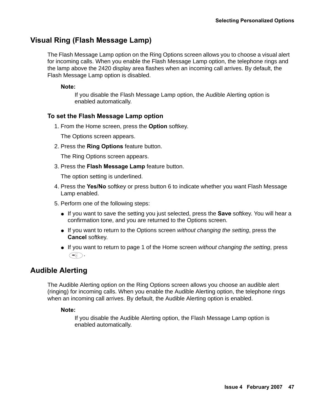## **Visual Ring (Flash Message Lamp)**

The Flash Message Lamp option on the Ring Options screen allows you to choose a visual alert for incoming calls. When you enable the Flash Message Lamp option, the telephone rings and the lamp above the 2420 display area flashes when an incoming call arrives. By default, the Flash Message Lamp option is disabled.

#### **Note:**

<span id="page-46-2"></span><span id="page-46-1"></span>If you disable the Flash Message Lamp option, the Audible Alerting option is enabled automatically.

#### **To set the Flash Message Lamp option**

1. From the Home screen, press the **Option** softkey.

The Options screen appears.

2. Press the **Ring Options** feature button.

The Ring Options screen appears.

3. Press the **Flash Message Lamp** feature button.

The option setting is underlined.

- 4. Press the **Yes/No** softkey or press button 6 to indicate whether you want Flash Message Lamp enabled.
- 5. Perform one of the following steps:
	- If you want to save the setting you just selected, press the **Save** softkey. You will hear a confirmation tone, and you are returned to the Options screen.
	- If you want to return to the Options screen *without changing the setting*, press the **Cancel** softkey.
	- If you want to return to page 1 of the Home screen *without changing the setting*, press  $\bigoplus$ .

## **Audible Alerting**

<span id="page-46-0"></span>The Audible Alerting option on the Ring Options screen allows you choose an audible alert (ringing) for incoming calls. When you enable the Audible Alerting option, the telephone rings when an incoming call arrives. By default, the Audible Alerting option is enabled.

#### **Note:**

If you disable the Audible Alerting option, the Flash Message Lamp option is enabled automatically.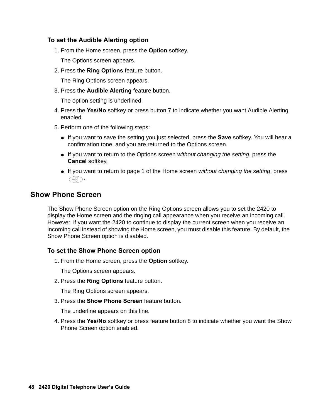#### **To set the Audible Alerting option**

1. From the Home screen, press the **Option** softkey.

<span id="page-47-2"></span>The Options screen appears.

2. Press the **Ring Options** feature button.

<span id="page-47-0"></span>The Ring Options screen appears.

3. Press the **Audible Alerting** feature button.

The option setting is underlined.

- 4. Press the **Yes/No** softkey or press button 7 to indicate whether you want Audible Alerting enabled.
- 5. Perform one of the following steps:
	- If you want to save the setting you just selected, press the **Save** softkey. You will hear a confirmation tone, and you are returned to the Options screen.
	- If you want to return to the Options screen *without changing the setting*, press the **Cancel** softkey.
	- If you want to return to page 1 of the Home screen *without changing the setting*, press  $\widehat{C}$ .

#### **Show Phone Screen**

<span id="page-47-1"></span>The Show Phone Screen option on the Ring Options screen allows you to set the 2420 to display the Home screen and the ringing call appearance when you receive an incoming call. However, if you want the 2420 to continue to display the current screen when you receive an incoming call instead of showing the Home screen, you must disable this feature. By default, the Show Phone Screen option is disabled.

#### **To set the Show Phone Screen option**

1. From the Home screen, press the **Option** softkey.

The Options screen appears.

2. Press the **Ring Options** feature button.

The Ring Options screen appears.

3. Press the **Show Phone Screen** feature button.

The underline appears on this line.

4. Press the **Yes/No** softkey or press feature button 8 to indicate whether you want the Show Phone Screen option enabled.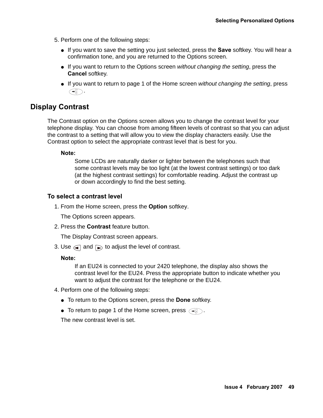- 5. Perform one of the following steps:
	- If you want to save the setting you just selected, press the **Save** softkey. You will hear a confirmation tone, and you are returned to the Options screen.
	- If you want to return to the Options screen *without changing the setting*, press the **Cancel** softkey.
	- If you want to return to page 1 of the Home screen *without changing the setting*, press  $\widehat{\mathbb{F}}$ .

### **Display Contrast**

The Contrast option on the Options screen allows you to change the contrast level for your telephone display. You can choose from among fifteen levels of contrast so that you can adjust the contrast to a setting that will allow you to view the display characters easily. Use the Contrast option to select the appropriate contrast level that is best for you.

#### **Note:**

<span id="page-48-2"></span><span id="page-48-1"></span>Some LCDs are naturally darker or lighter between the telephones such that some contrast levels may be too light (at the lowest contrast settings) or too dark (at the highest contrast settings) for comfortable reading. Adjust the contrast up or down accordingly to find the best setting.

#### **To select a contrast level**

1. From the Home screen, press the **Option** softkey.

<span id="page-48-0"></span>The Options screen appears.

2. Press the **Contrast** feature button.

The Display Contrast screen appears.

3. Use  $\bigcirc$  and  $\bigcirc$  to adjust the level of contrast.

#### **Note:**

If an EU24 is connected to your 2420 telephone, the display also shows the contrast level for the EU24. Press the appropriate button to indicate whether you want to adjust the contrast for the telephone or the EU24.

- 4. Perform one of the following steps:
	- To return to the Options screen, press the **Done** softkey.
	- To return to page 1 of the Home screen, press  $\widehat{f}(\widehat{f})$ .

The new contrast level is set.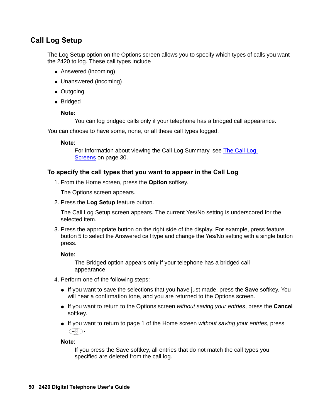## **Call Log Setup**

<span id="page-49-0"></span>The Log Setup option on the Options screen allows you to specify which types of calls you want the 2420 to log. These call types include

- <span id="page-49-2"></span>● Answered (incoming)
- Unanswered (incoming)
- Outgoing
- Bridged

#### **Note:**

You can log bridged calls only if your telephone has a bridged call appearance.

You can choose to have some, none, or all these call types logged.

#### **Note:**

For information about viewing the Call Log Summary, see The Call Log Screens [on page 30.](#page-29-0)

#### **To specify the call types that you want to appear in the Call Log**

1. From the Home screen, press the **Option** softkey.

<span id="page-49-1"></span>The Options screen appears.

2. Press the **Log Setup** feature button.

The Call Log Setup screen appears. The current Yes/No setting is underscored for the selected item.

3. Press the appropriate button on the right side of the display. For example, press feature button 5 to select the Answered call type and change the Yes/No setting with a single button press.

#### **Note:**

The Bridged option appears only if your telephone has a bridged call appearance.

#### 4. Perform one of the following steps:

- If you want to save the selections that you have just made, press the **Save** softkey. You will hear a confirmation tone, and you are returned to the Options screen.
- If you want to return to the Options screen *without saving your entries*, press the **Cancel** softkey.
- If you want to return to page 1 of the Home screen *without saving your entries*, press  $\bigoplus$ .

**Note:**

If you press the Save softkey, all entries that do not match the call types you specified are deleted from the call log.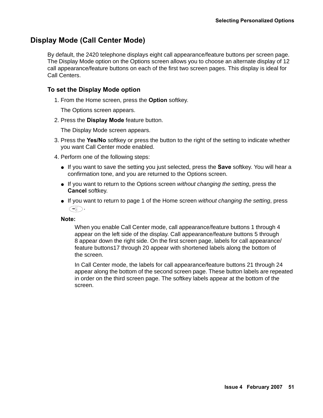## **Display Mode (Call Center Mode)**

<span id="page-50-0"></span>By default, the 2420 telephone displays eight call appearance/feature buttons per screen page. The Display Mode option on the Options screen allows you to choose an alternate display of 12 call appearance/feature buttons on each of the first two screen pages. This display is ideal for Call Centers.

#### **To set the Display Mode option**

1. From the Home screen, press the **Option** softkey.

<span id="page-50-2"></span>The Options screen appears.

2. Press the **Display Mode** feature button.

The Display Mode screen appears.

- 3. Press the **Yes/No** softkey or press the button to the right of the setting to indicate whether you want Call Center mode enabled.
- 4. Perform one of the following steps:
	- If you want to save the setting you just selected, press the **Save** softkey. You will hear a confirmation tone, and you are returned to the Options screen.
	- If you want to return to the Options screen *without changing the setting*, press the **Cancel** softkey.
	- If you want to return to page 1 of the Home screen *without changing the setting*, press  $\bigoplus$ .

#### **Note:**

<span id="page-50-1"></span>When you enable Call Center mode, call appearance/feature buttons 1 through 4 appear on the left side of the display. Call appearance/feature buttons 5 through 8 appear down the right side. On the first screen page, labels for call appearance/ feature buttons17 through 20 appear with shortened labels along the bottom of the screen.

In Call Center mode, the labels for call appearance/feature buttons 21 through 24 appear along the bottom of the second screen page. These button labels are repeated in order on the third screen page. The softkey labels appear at the bottom of the screen.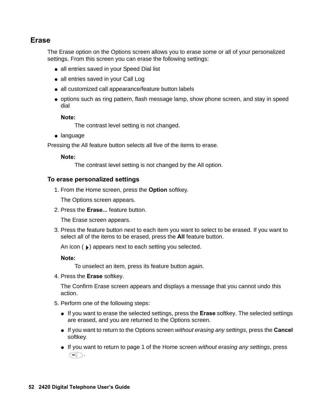### **Erase**

<span id="page-51-2"></span>The Erase option on the Options screen allows you to erase some or all of your personalized settings. From this screen you can erase the following settings:

- all entries saved in your Speed Dial list
- all entries saved in your Call Log
- all customized call appearance/feature button labels
- options such as ring pattern, flash message lamp, show phone screen, and stay in speed dial

#### **Note:**

The contrast level setting is not changed.

● language

Pressing the All feature button selects all five of the items to erase.

#### **Note:**

<span id="page-51-1"></span><span id="page-51-0"></span>The contrast level setting is not changed by the All option.

#### **To erase personalized settings**

1. From the Home screen, press the **Option** softkey.

The Options screen appears.

2. Press the **Erase...** feature button.

The Erase screen appears.

3. Press the feature button next to each item you want to select to be erased. If you want to select all of the items to be erased, press the **All** feature button.

An icon  $( )$  appears next to each setting you selected.

**Note:**

<span id="page-51-3"></span>To unselect an item, press its feature button again.

4. Press the **Erase** softkey.

The Confirm Erase screen appears and displays a message that you cannot undo this action.

- 5. Perform one of the following steps:
	- If you want to erase the selected settings, press the **Erase** softkey. The selected settings are erased, and you are returned to the Options screen.
	- If you want to return to the Options screen *without erasing any settings*, press the **Cancel** softkey.
	- If you want to return to page 1 of the Home screen *without erasing any settings*, press  $\widehat{C}$ .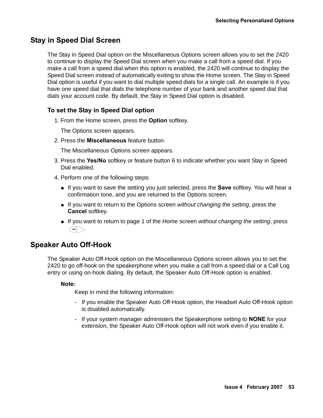## **Stay in Speed Dial Screen**

<span id="page-52-3"></span><span id="page-52-1"></span>The Stay in Speed Dial option on the Miscellaneous Options screen allows you to set the 2420 to continue to display the Speed Dial screen when you make a call from a speed dial. If you make a call from a speed dial when this option is enabled, the 2420 will continue to display the Speed Dial screen instead of automatically exiting to show the Home screen. The Stay in Speed Dial option is useful if you want to dial multiple speed dials for a single call. An example is if you have one speed dial that dials the telephone number of your bank and another speed dial that dials your account code. By default, the Stay in Speed Dial option is disabled.

#### **To set the Stay in Speed Dial option**

1. From the Home screen, press the **Option** softkey.

The Options screen appears.

2. Press the **Miscellaneous** feature button.

The Miscellaneous Options screen appears.

- 3. Press the **Yes/No** softkey or feature button 6 to indicate whether you want Stay in Speed Dial enabled.
- 4. Perform one of the following steps:
	- If you want to save the setting you just selected, press the **Save** softkey. You will hear a confirmation tone, and you are returned to the Options screen.
	- If you want to return to the Options screen *without changing the setting*, press the **Cancel** softkey.
	- If you want to return to page 1 of the Home screen *without changing the setting*, press  $\bigoplus$ .

## **Speaker Auto Off-Hook**

The Speaker Auto Off-Hook option on the Miscellaneous Options screen allows you to set the 2420 to go off-hook on the speakerphone when you make a call from a speed dial or a Call Log entry or using on-hook dialing. By default, the Speaker Auto Off-Hook option is enabled.

#### **Note:**

<span id="page-52-2"></span><span id="page-52-0"></span>Keep in mind the following information:

- If you enable the Speaker Auto Off-Hook option, the Headset Auto Off-Hook option is disabled automatically.
- If your system manager administers the Speakerphone setting to **NONE** for your extension, the Speaker Auto Off-Hook option will not work even if you enable it.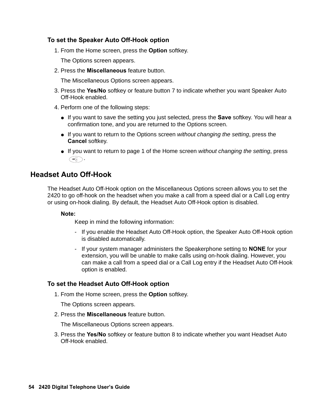#### **To set the Speaker Auto Off-Hook option**

1. From the Home screen, press the **Option** softkey.

The Options screen appears.

2. Press the **Miscellaneous** feature button.

The Miscellaneous Options screen appears.

- 3. Press the **Yes/No** softkey or feature button 7 to indicate whether you want Speaker Auto Off-Hook enabled.
- 4. Perform one of the following steps:
	- If you want to save the setting you just selected, press the **Save** softkey. You will hear a confirmation tone, and you are returned to the Options screen.
	- If you want to return to the Options screen *without changing the setting*, press the **Cancel** softkey.
	- If you want to return to page 1 of the Home screen *without changing the setting*, press  $\widehat{CD}$ .

### **Headset Auto Off-Hook**

The Headset Auto Off-Hook option on the Miscellaneous Options screen allows you to set the 2420 to go off-hook on the headset when you make a call from a speed dial or a Call Log entry or using on-hook dialing. By default, the Headset Auto Off-Hook option is disabled.

#### **Note:**

<span id="page-53-1"></span><span id="page-53-0"></span>Keep in mind the following information:

- If you enable the Headset Auto Off-Hook option, the Speaker Auto Off-Hook option is disabled automatically.
- If your system manager administers the Speakerphone setting to **NONE** for your extension, you will be unable to make calls using on-hook dialing. However, you can make a call from a speed dial or a Call Log entry if the Headset Auto Off-Hook option is enabled.

#### **To set the Headset Auto Off-Hook option**

1. From the Home screen, press the **Option** softkey.

The Options screen appears.

2. Press the **Miscellaneous** feature button.

The Miscellaneous Options screen appears.

3. Press the **Yes/No** softkey or feature button 8 to indicate whether you want Headset Auto Off-Hook enabled.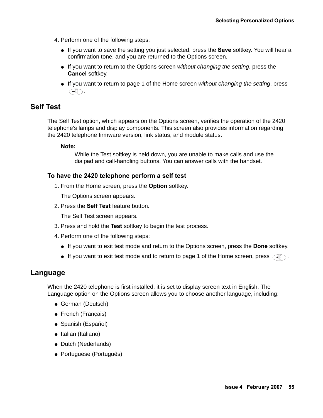4. Perform one of the following steps:

- If you want to save the setting you just selected, press the **Save** softkey. You will hear a confirmation tone, and you are returned to the Options screen.
- If you want to return to the Options screen *without changing the setting*, press the **Cancel** softkey.
- If you want to return to page 1 of the Home screen *without changing the setting*, press  $\widehat{\mathbb{F}}$ .

### **Self Test**

<span id="page-54-2"></span>The Self Test option, which appears on the Options screen, verifies the operation of the 2420 telephone's lamps and display components. This screen also provides information regarding the 2420 telephone firmware version, link status, and module status.

#### **Note:**

<span id="page-54-4"></span>While the Test softkey is held down, you are unable to make calls and use the dialpad and call-handling buttons. You can answer calls with the handset.

#### **To have the 2420 telephone perform a self test**

1. From the Home screen, press the **Option** softkey.

The Options screen appears.

2. Press the **Self Test** feature button.

<span id="page-54-5"></span><span id="page-54-3"></span>The Self Test screen appears.

- 3. Press and hold the **Test** softkey to begin the test process.
- 4. Perform one of the following steps:
	- If you want to exit test mode and return to the Options screen, press the **Done** softkey.
	- If you want to exit test mode and to return to page 1 of the Home screen, press  $\widehat{A}$ .

#### **Language**

<span id="page-54-0"></span>When the 2420 telephone is first installed, it is set to display screen text in English. The Language option on the Options screen allows you to choose another language, including:

- <span id="page-54-1"></span>• German (Deutsch)
- French (Français)
- Spanish (Español)
- Italian (Italiano)
- Dutch (Nederlands)
- Portuguese (Português)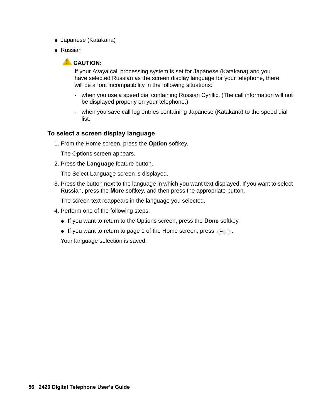- Japanese (Katakana)
- Russian

### **! CAUTION:**

If your Avaya call processing system is set for Japanese (Katakana) and you have selected Russian as the screen display language for your telephone, there will be a font incompatibility in the following situations:

- when you use a speed dial containing Russian Cyrillic. (The call information will not be displayed properly on your telephone.)
- when you save call log entries containing Japanese (Katakana) to the speed dial list.

#### **To select a screen display language**

1. From the Home screen, press the **Option** softkey.

The Options screen appears.

2. Press the **Language** feature button.

<span id="page-55-0"></span>The Select Language screen is displayed.

3. Press the button next to the language in which you want text displayed. If you want to select Russian, press the **More** softkey, and then press the appropriate button.

The screen text reappears in the language you selected.

- 4. Perform one of the following steps:
	- If you want to return to the Options screen, press the **Done** softkey.
	- If you want to return to page 1 of the Home screen, press  $\widehat{f}$ .

Your language selection is saved.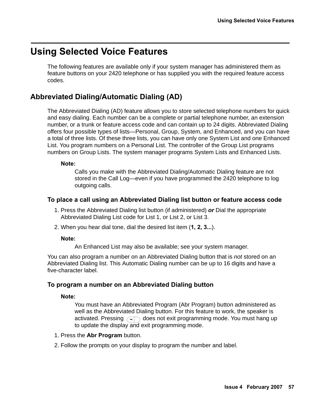# **Using Selected Voice Features**

<span id="page-56-1"></span>The following features are available only if your system manager has administered them as feature buttons on your 2420 telephone or has supplied you with the required feature access codes.

## **Abbreviated Dialing/Automatic Dialing (AD)**

The Abbreviated Dialing (AD) feature allows you to store selected telephone numbers for quick and easy dialing. Each number can be a complete or partial telephone number, an extension number, or a trunk or feature access code and can contain up to 24 digits. Abbreviated Dialing offers four possible types of lists—Personal, Group, System, and Enhanced, and you can have a total of three lists. Of these three lists, you can have only one System List and one Enhanced List. You program numbers on a Personal List. The controller of the Group List programs numbers on Group Lists. The system manager programs System Lists and Enhanced Lists.

#### **Note:**

Calls you make with the Abbreviated Dialing/Automatic Dialing feature are not stored in the Call Log—even if you have programmed the 2420 telephone to log outgoing calls.

#### **To place a call using an Abbreviated Dialing list button or feature access code**

- 1. Press the Abbreviated Dialing list button (if administered) *or* Dial the appropriate Abbreviated Dialing List code for List 1, or List 2, or List 3.
- 2. When you hear dial tone, dial the desired list item (**1, 2, 3...**).

#### **Note:**

<span id="page-56-0"></span>An Enhanced List may also be available; see your system manager.

You can also program a number on an Abbreviated Dialing button that is *not* stored on an Abbreviated Dialing list. This Automatic Dialing number can be up to 16 digits and have a five-character label.

#### **To program a number on an Abbreviated Dialing button**

#### **Note:**

You must have an Abbreviated Program (Abr Program) button administered as well as the Abbreviated Dialing button. For this feature to work, the speaker is activated. Pressing  $\sqrt{-\pi}$  does not exit programming mode. You must hang up to update the display and exit programming mode.

- 1. Press the **Abr Program** button.
- 2. Follow the prompts on your display to program the number and label.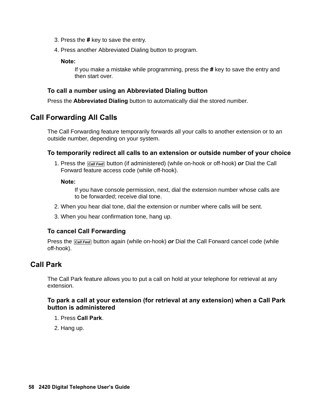- 3. Press the **#** key to save the entry.
- 4. Press another Abbreviated Dialing button to program.

#### **Note:**

If you make a mistake while programming, press the # key to save the entry and then start over.

#### **To call a number using an Abbreviated Dialing button**

Press the **Abbreviated Dialing** button to automatically dial the stored number.

## **Call Forwarding All Calls**

<span id="page-57-0"></span>The Call Forwarding feature temporarily forwards all your calls to another extension or to an outside number, depending on your system.

#### **To temporarily redirect all calls to an extension or outside number of your choice**

1. Press the **Call Fwd** button (if administered) (while on-hook or off-hook) or Dial the Call Forward feature access code (while off-hook).

#### **Note:**

If you have console permission, next, dial the extension number whose calls are to be forwarded; receive dial tone.

- 2. When you hear dial tone, dial the extension or number where calls will be sent.
- 3. When you hear confirmation tone, hang up.

#### **To cancel Call Forwarding**

<span id="page-57-1"></span>Press the **Call Fwd** button again (while on-hook) or Dial the Call Forward cancel code (while off-hook).

### **Call Park**

<span id="page-57-2"></span>The Call Park feature allows you to put a call on hold at your telephone for retrieval at any extension.

#### **To park a call at your extension (for retrieval at any extension) when a Call Park button is administered**

- 1. Press **Call Park**.
- 2. Hang up.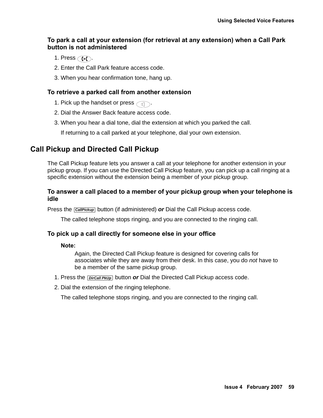#### **To park a call at your extension (for retrieval at any extension) when a Call Park button is not administered**

- 1. Press  $\mathbb{C}$ .
- 2. Enter the Call Park feature access code.
- 3. When you hear confirmation tone, hang up.

#### **To retrieve a parked call from another extension**

- 1. Pick up the handset or press  $\textcircled{f}$ .
- 2. Dial the Answer Back feature access code.
- 3. When you hear a dial tone, dial the extension at which you parked the call.

<span id="page-58-2"></span><span id="page-58-1"></span><span id="page-58-0"></span>If returning to a call parked at your telephone, dial your own extension.

### **Call Pickup and Directed Call Pickup**

The Call Pickup feature lets you answer a call at your telephone for another extension in your pickup group. If you can use the Directed Call Pickup feature, you can pick up a call ringing at a specific extension without the extension being a member of your pickup group.

#### **To answer a call placed to a member of your pickup group when your telephone is idle**

Press the **CallPickup** button (if administered) or Dial the Call Pickup access code.

The called telephone stops ringing, and you are connected to the ringing call.

#### **To pick up a call directly for someone else in your office**

#### **Note:**

Again, the Directed Call Pickup feature is designed for covering calls for associates while they are away from their desk. In this case, you do *not* have to be a member of the same pickup group.

- 1. Press the **Dircall PKUp** button or Dial the Directed Call Pickup access code.
- 2. Dial the extension of the ringing telephone.

The called telephone stops ringing, and you are connected to the ringing call.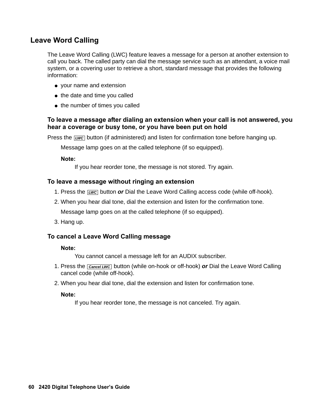## **Leave Word Calling**

The Leave Word Calling (LWC) feature leaves a message for a person at another extension to call you back. The called party can dial the message service such as an attendant, a voice mail system, or a covering user to retrieve a short, standard message that provides the following information:

- <span id="page-59-1"></span><span id="page-59-0"></span>● your name and extension
- the date and time you called
- <span id="page-59-2"></span>• the number of times you called

#### **To leave a message after dialing an extension when your call is not answered, you hear a coverage or busy tone, or you have been put on hold**

Press the **LWC** button (if administered) and listen for confirmation tone before hanging up.

Message lamp goes on at the called telephone (if so equipped).

**Note:**

If you hear reorder tone, the message is not stored. Try again.

#### **To leave a message without ringing an extension**

- 1. Press the **LWC** button or Dial the Leave Word Calling access code (while off-hook).
- 2. When you hear dial tone, dial the extension and listen for the confirmation tone. Message lamp goes on at the called telephone (if so equipped).
- 3. Hang up.

#### **To cancel a Leave Word Calling message**

#### **Note:**

You cannot cancel a message left for an AUDIX subscriber.

- 1. Press the **Cancel LWC** button (while on-hook or off-hook) or Dial the Leave Word Calling cancel code (while off-hook).
- 2. When you hear dial tone, dial the extension and listen for confirmation tone.

**Note:**

If you hear reorder tone, the message is not canceled. Try again.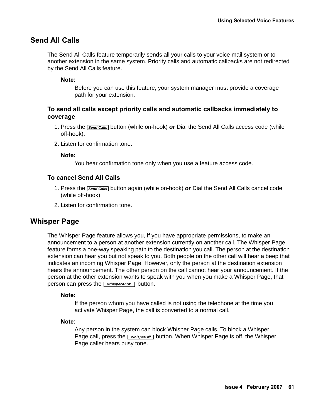## **Send All Calls**

<span id="page-60-0"></span>The Send All Calls feature temporarily sends all your calls to your voice mail system or to another extension in the same system. Priority calls and automatic callbacks are not redirected by the Send All Calls feature.

#### **Note:**

Before you can use this feature, your system manager must provide a coverage path for your extension.

#### **To send all calls except priority calls and automatic callbacks immediately to coverage**

- 1. Press the **Send Calls** button (while on-hook) or Dial the Send All Calls access code (while off-hook).
- 2. Listen for confirmation tone.

#### **Note:**

You hear confirmation tone only when you use a feature access code.

#### **To cancel Send All Calls**

- 1. Press the **Send Calls** button again (while on-hook) or Dial the Send All Calls cancel code (while off-hook).
- 2. Listen for confirmation tone.

## **Whisper Page**

The Whisper Page feature allows you, if you have appropriate permissions, to make an announcement to a person at another extension currently on another call. The Whisper Page feature forms a one-way speaking path to the destination you call. The person at the destination extension can hear you but not speak to you. Both people on the other call will hear a beep that indicates an incoming Whisper Page. However, only the person at the destination extension hears the announcement. The other person on the call cannot hear your announcement. If the person at the other extension wants to speak with you when you make a Whisper Page, that person can press the **WhisperAnbk** button.

#### **Note:**

If the person whom you have called is not using the telephone at the time you activate Whisper Page, the call is converted to a normal call.

#### **Note:**

Any person in the system can block Whisper Page calls. To block a Whisper Page call, press the **Whisperoff** button. When Whisper Page is off, the Whisper Page caller hears busy tone.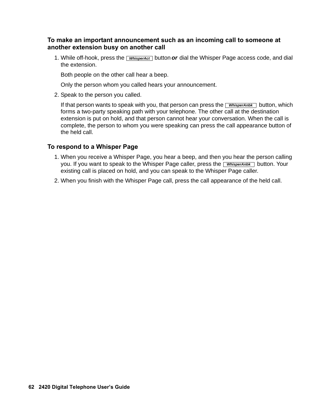#### **To make an important announcement such as an incoming call to someone at another extension busy on another call**

1. While off-hook, press the **WhisperAct** button or dial the Whisper Page access code, and dial the extension.

<span id="page-61-0"></span>Both people on the other call hear a beep.

Only the person whom you called hears your announcement.

2. Speak to the person you called.

If that person wants to speak with you, that person can press the whisperAnbk button, which forms a two-party speaking path with your telephone. The other call at the destination extension is put on hold, and that person cannot hear your conversation. When the call is complete, the person to whom you were speaking can press the call appearance button of the held call.

#### **To respond to a Whisper Page**

- 1. When you receive a Whisper Page, you hear a beep, and then you hear the person calling you. If you want to speak to the Whisper Page caller, press the **WhisperAnbk** button. Your existing call is placed on hold, and you can speak to the Whisper Page caller.
- 2. When you finish with the Whisper Page call, press the call appearance of the held call.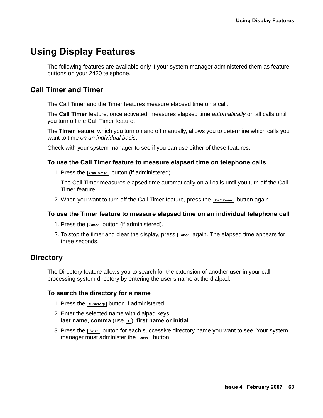# **Using Display Features**

<span id="page-62-3"></span><span id="page-62-1"></span><span id="page-62-0"></span>The following features are available only if your system manager administered them as feature buttons on your 2420 telephone.

## **Call Timer and Timer**

The Call Timer and the Timer features measure elapsed time on a call.

The **Call Timer** feature, once activated, measures elapsed time *automatically* on all calls until you turn off the Call Timer feature.

The **Timer** feature, which you turn on and off manually, allows you to determine which calls you want to time *on an individual basis*.

Check with your system manager to see if you can use either of these features.

#### **To use the Call Timer feature to measure elapsed time on telephone calls**

1. Press the **Call Timer** button (if administered).

The Call Timer measures elapsed time automatically on all calls until you turn off the Call Timer feature.

2. When you want to turn off the Call Timer feature, press the **Call Timer** button again.

#### **To use the Timer feature to measure elapsed time on an individual telephone call**

- 1. Press the **Timer** button (if administered).
- <span id="page-62-2"></span>2. To stop the timer and clear the display, press **Timer** again. The elapsed time appears for three seconds.

## **Directory**

The Directory feature allows you to search for the extension of another user in your call processing system directory by entering the user's name at the dialpad.

#### **To search the directory for a name**

- 1. Press the **Directory** button if administered.
- 2. Enter the selected name with dialpad keys: **last name, comma** (use  $\left[\frac{1}{2}\right)$ , first name or initial.
- 3. Press the **Next** button for each successive directory name you want to see. Your system manager must administer the **Next** button.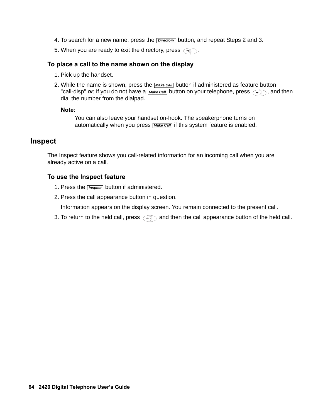- 4. To search for a new name, press the **Directory** button, and repeat Steps 2 and 3.
- 5. When you are ready to exit the directory, press  $\widehat{\mathcal{A}}$ .

#### **To place a call to the name shown on the display**

- 1. Pick up the handset.
- 2. While the name is shown, press the **Make Call** button if administered as feature button "call-disp" or, if you do not have a **Make Call** button on your telephone, press  $\widehat{A}$ , and then dial the number from the dialpad.

#### **Note:**

You can also leave your handset on-hook. The speakerphone turns on automatically when you press **Make Call** if this system feature is enabled.

#### **Inspect**

<span id="page-63-0"></span>The Inspect feature shows you call-related information for an incoming call when you are already active on a call.

#### **To use the Inspect feature**

- 1. Press the **Inspect** button if administered.
- 2. Press the call appearance button in question.

Information appears on the display screen. You remain connected to the present call.

3. To return to the held call, press  $\widehat{f}(\widehat{f})$  and then the call appearance button of the held call.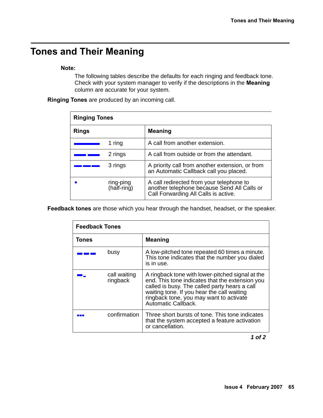# **Tones and Their Meaning**

#### **Note:**

<span id="page-64-2"></span><span id="page-64-1"></span>The following tables describe the defaults for each ringing and feedback tone. Check with your system manager to verify if the descriptions in the **Meaning** column are accurate for your system.

**Ringing Tones** are produced by an incoming call.

| <b>Ringing Tones</b> |                          |                                                                                                                                 |  |  |  |  |  |  |  |
|----------------------|--------------------------|---------------------------------------------------------------------------------------------------------------------------------|--|--|--|--|--|--|--|
| <b>Rings</b>         |                          | <b>Meaning</b>                                                                                                                  |  |  |  |  |  |  |  |
|                      | 1 ring                   | A call from another extension.                                                                                                  |  |  |  |  |  |  |  |
|                      | 2 rings                  | A call from outside or from the attendant.                                                                                      |  |  |  |  |  |  |  |
|                      | 3 rings                  | A priority call from another extension, or from<br>an Automatic Callback call you placed.                                       |  |  |  |  |  |  |  |
|                      | ring-ping<br>(half-ring) | A call redirected from your telephone to<br>another telephone because Send All Calls or<br>Call Forwarding All Calls is active. |  |  |  |  |  |  |  |

**Feedback tones** are those which you hear through the handset, headset, or the speaker.

<span id="page-64-0"></span>

| <b>Feedback Tones</b> |                          |                                                                                                                                                                                                                                                                      |  |  |  |  |  |  |
|-----------------------|--------------------------|----------------------------------------------------------------------------------------------------------------------------------------------------------------------------------------------------------------------------------------------------------------------|--|--|--|--|--|--|
| Tones                 |                          | <b>Meaning</b>                                                                                                                                                                                                                                                       |  |  |  |  |  |  |
|                       | busy                     | A low-pitched tone repeated 60 times a minute.<br>This tone indicates that the number you dialed<br>is in use.                                                                                                                                                       |  |  |  |  |  |  |
|                       | call waiting<br>ringback | A ringback tone with lower-pitched signal at the<br>end. This tone indicates that the extension you<br>called is busy. The called party hears a call<br>waiting tone. If you hear the call waiting<br>ringback tone, you may want to activate<br>Automatic Callback. |  |  |  |  |  |  |
|                       | confirmation             | Three short bursts of tone. This tone indicates<br>that the system accepted a feature activation<br>or cancellation.                                                                                                                                                 |  |  |  |  |  |  |

*1 of 2*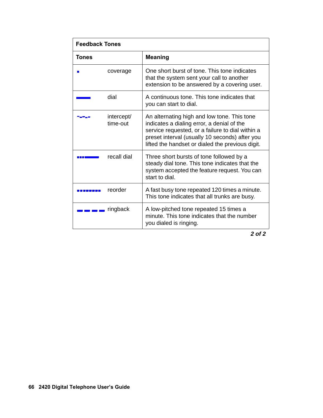| <b>Feedback Tones</b> |                        |                                                                                                                                                                                                                                                     |  |  |  |  |  |  |  |
|-----------------------|------------------------|-----------------------------------------------------------------------------------------------------------------------------------------------------------------------------------------------------------------------------------------------------|--|--|--|--|--|--|--|
| <b>Tones</b>          |                        | <b>Meaning</b>                                                                                                                                                                                                                                      |  |  |  |  |  |  |  |
|                       | coverage               | One short burst of tone. This tone indicates<br>that the system sent your call to another<br>extension to be answered by a covering user.                                                                                                           |  |  |  |  |  |  |  |
|                       | dial                   | A continuous tone. This tone indicates that<br>you can start to dial.                                                                                                                                                                               |  |  |  |  |  |  |  |
|                       | intercept/<br>time-out | An alternating high and low tone. This tone<br>indicates a dialing error, a denial of the<br>service requested, or a failure to dial within a<br>preset interval (usually 10 seconds) after you<br>lifted the handset or dialed the previous digit. |  |  |  |  |  |  |  |
|                       | recall dial            | Three short bursts of tone followed by a<br>steady dial tone. This tone indicates that the<br>system accepted the feature request. You can<br>start to dial.                                                                                        |  |  |  |  |  |  |  |
|                       | reorder                | A fast busy tone repeated 120 times a minute.<br>This tone indicates that all trunks are busy.                                                                                                                                                      |  |  |  |  |  |  |  |
|                       | ringback               | A low-pitched tone repeated 15 times a<br>minute. This tone indicates that the number<br>you dialed is ringing.                                                                                                                                     |  |  |  |  |  |  |  |

*2 of 2*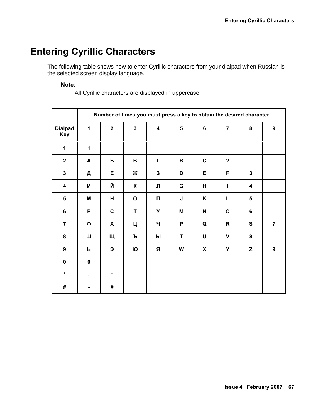# **Entering Cyrillic Characters**

<span id="page-66-0"></span>The following table shows how to enter Cyrillic characters from your dialpad when Russian is the selected screen display language.

#### **Note:**

All Cyrillic characters are displayed in uppercase.

|                              | Number of times you must press a key to obtain the desired character |                |                |                         |                |                           |                |                |                |  |  |   |  |
|------------------------------|----------------------------------------------------------------------|----------------|----------------|-------------------------|----------------|---------------------------|----------------|----------------|----------------|--|--|---|--|
| <b>Dialpad</b><br><b>Key</b> | $\mathbf{1}$                                                         | $\overline{2}$ | $\overline{3}$ | $\overline{\mathbf{4}}$ | $5\phantom{a}$ | $6\phantom{a}$            | $\overline{7}$ | 8              | 9              |  |  |   |  |
| $\mathbf{1}$                 | 1                                                                    |                |                |                         |                |                           |                |                |                |  |  |   |  |
| $\mathbf{2}$                 | A                                                                    | Б              | В              | г<br>В                  |                | $\mathbf c$               | $\mathbf{2}$   |                |                |  |  |   |  |
| $\mathbf 3$                  | Д                                                                    | E              | Ж              | 3                       | D              | E                         | F              | $\mathbf{3}$   |                |  |  |   |  |
| $\boldsymbol{4}$             | N                                                                    | Й              | К              | Л                       | G              | н                         |                |                |                |  |  | 4 |  |
| $5\phantom{a}$               | M                                                                    | H              | $\mathbf O$    | $\mathsf{\Pi}$          | J              | K                         | L              | $5\phantom{a}$ |                |  |  |   |  |
| $\bf 6$                      | P                                                                    | $\mathbf c$    | T              | У                       | M              | $\boldsymbol{\mathsf{N}}$ | $\mathbf{o}$   | $6\phantom{a}$ |                |  |  |   |  |
| $\overline{7}$               | Φ                                                                    | $\mathbf x$    | Ц              | Ч                       | P              | Q                         | R              | ${\bf S}$      | $\overline{7}$ |  |  |   |  |
| 8                            | Ш                                                                    | Щ              | Ъ              | Ы                       | T              | $\mathsf U$               | $\mathbf{V}$   | 8              |                |  |  |   |  |
| $\boldsymbol{9}$             | Ь                                                                    | Э              | Ю              | Я                       | W              | $\boldsymbol{\mathsf{X}}$ | Y              | Z              | 9              |  |  |   |  |
| $\pmb{0}$                    | $\mathbf 0$                                                          |                |                |                         |                |                           |                |                |                |  |  |   |  |
| $\star$                      | ٠                                                                    | $\star$        |                |                         |                |                           |                |                |                |  |  |   |  |
| #                            |                                                                      | #              |                |                         |                |                           |                |                |                |  |  |   |  |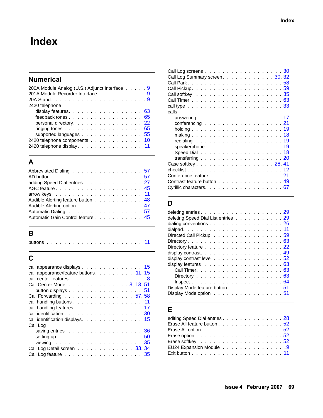# **Index**

## **Numerical**

| 200A Module Analog (U.S.) Adjunct Interface 9 |  |
|-----------------------------------------------|--|
| 201A Module Recorder Interface 9              |  |
|                                               |  |
| 2420 telephone                                |  |
| display features. 63                          |  |
| feedback tones 65                             |  |
|                                               |  |
|                                               |  |
| supported languages 55                        |  |
| 2420 telephone components 10                  |  |
| 2420 telephone display. 11                    |  |

## **A**

| Abbreviated Dialing 57             |  |  |  |  |  |  |
|------------------------------------|--|--|--|--|--|--|
|                                    |  |  |  |  |  |  |
| adding Speed Dial entries 27       |  |  |  |  |  |  |
|                                    |  |  |  |  |  |  |
|                                    |  |  |  |  |  |  |
| Audible Alerting feature button 48 |  |  |  |  |  |  |
| Audible Alerting option 47         |  |  |  |  |  |  |
| Automatic Dialing 57               |  |  |  |  |  |  |
| Automatic Gain Control feature 45  |  |  |  |  |  |  |
|                                    |  |  |  |  |  |  |

## **B**

|--|--|--|

# **C**

| call appearance displays 15                                               |  |
|---------------------------------------------------------------------------|--|
| call appearance/feature buttons. 11, 15                                   |  |
| call center features. 8                                                   |  |
| Call Center Mode 8, 13, 51                                                |  |
| button displays $\ldots$ , $\ldots$ , $\ldots$ , $\ldots$ , $\ldots$ , 51 |  |
| Call Forwarding $\ldots \ldots \ldots \ldots \ldots \ldots 57, 58$        |  |
| call handling buttons 11                                                  |  |
| call handling features. 17                                                |  |
| call identification 30                                                    |  |
| call identification displays. 15                                          |  |
| Call Log                                                                  |  |
| saving entries 36                                                         |  |
|                                                                           |  |
|                                                                           |  |
| Call Log Detail screen 33, 34                                             |  |
| Call Log feature 35                                                       |  |

| Call Log screens $\ldots \ldots \ldots \ldots \ldots \ldots \ldots 30$ |
|------------------------------------------------------------------------|
| Call Log Summary screen. 30, 32                                        |
|                                                                        |
|                                                                        |
|                                                                        |
|                                                                        |
|                                                                        |
| calls                                                                  |
|                                                                        |
| conferencing 21                                                        |
|                                                                        |
|                                                                        |
|                                                                        |
|                                                                        |
| speakerphone. 19                                                       |
|                                                                        |
|                                                                        |
|                                                                        |
|                                                                        |
| Conference feature 21                                                  |
| Contrast feature button $\ldots \ldots \ldots \ldots \ldots \ldots 49$ |
| Cyrillic characters. 67                                                |

## **D**

| deleting Speed Dial List entries 29                                   |  |  |  |  |  |  |  |  |  |
|-----------------------------------------------------------------------|--|--|--|--|--|--|--|--|--|
| dialing conventions 26                                                |  |  |  |  |  |  |  |  |  |
|                                                                       |  |  |  |  |  |  |  |  |  |
| Directed Call Pickup 59                                               |  |  |  |  |  |  |  |  |  |
|                                                                       |  |  |  |  |  |  |  |  |  |
| Directory feature 22                                                  |  |  |  |  |  |  |  |  |  |
| display contrast. $\ldots$ 49                                         |  |  |  |  |  |  |  |  |  |
| display contrast level $\ldots \ldots \ldots \ldots \ldots \ldots 52$ |  |  |  |  |  |  |  |  |  |
| display features 63                                                   |  |  |  |  |  |  |  |  |  |
|                                                                       |  |  |  |  |  |  |  |  |  |
|                                                                       |  |  |  |  |  |  |  |  |  |
| $Inspect \ldots \ldots \ldots \ldots \ldots \ldots \ldots 64$         |  |  |  |  |  |  |  |  |  |
| Display Mode feature button. 51                                       |  |  |  |  |  |  |  |  |  |
| Display Mode option 51                                                |  |  |  |  |  |  |  |  |  |

## **E**

| editing Speed Dial entries 28                                |  |  |  |  |  |  |  |  |
|--------------------------------------------------------------|--|--|--|--|--|--|--|--|
| Erase All feature button 52                                  |  |  |  |  |  |  |  |  |
| Erase All option $\ldots \ldots \ldots \ldots \ldots \ldots$ |  |  |  |  |  |  |  |  |
| Erase option $\ldots$ 52                                     |  |  |  |  |  |  |  |  |
|                                                              |  |  |  |  |  |  |  |  |
| EU24 Expansion Module 9                                      |  |  |  |  |  |  |  |  |
|                                                              |  |  |  |  |  |  |  |  |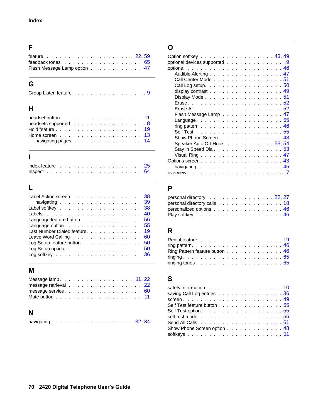#### **F**

| feedback tones 65            |  |  |  |  |  |  |  |
|------------------------------|--|--|--|--|--|--|--|
| Flash Message Lamp option 47 |  |  |  |  |  |  |  |

## **G**

| Group Listen feature 9 |  |  |  |  |  |  |  |  |  |  |  |  |  |  |  |  |  |
|------------------------|--|--|--|--|--|--|--|--|--|--|--|--|--|--|--|--|--|
|------------------------|--|--|--|--|--|--|--|--|--|--|--|--|--|--|--|--|--|

## **H**

| headset button. $\ldots$ . $\ldots$ . $\ldots$ . $\ldots$ . $\ldots$ . 11 |  |  |  |  |  |  |  |  |  |
|---------------------------------------------------------------------------|--|--|--|--|--|--|--|--|--|
| headsets supported 8                                                      |  |  |  |  |  |  |  |  |  |
|                                                                           |  |  |  |  |  |  |  |  |  |
| Home screen $\ldots$ 13                                                   |  |  |  |  |  |  |  |  |  |
| navigating pages 14                                                       |  |  |  |  |  |  |  |  |  |

## **I**

| index feature entertainment of the state of the state of the state of the state of the state of the state of the state of the state of the state of the state of the state of the state of the state of the state of the state |  |  |  |  |  |  |  |  |  |  |
|--------------------------------------------------------------------------------------------------------------------------------------------------------------------------------------------------------------------------------|--|--|--|--|--|--|--|--|--|--|
|                                                                                                                                                                                                                                |  |  |  |  |  |  |  |  |  |  |

## **L**

| Label Action screen 38                                                   |  |  |  |
|--------------------------------------------------------------------------|--|--|--|
|                                                                          |  |  |  |
|                                                                          |  |  |  |
|                                                                          |  |  |  |
| Language feature button 56                                               |  |  |  |
|                                                                          |  |  |  |
| Last Number Dialed feature. 19                                           |  |  |  |
| Leave Word Calling 60                                                    |  |  |  |
| Log Setup feature button 50                                              |  |  |  |
| Log Setup option. $\ldots$ 50                                            |  |  |  |
| Log softkey $\ldots \ldots \ldots \ldots \ldots \ldots \ldots \ldots 36$ |  |  |  |

## **M**

| Message lamp 11, 22  |  |  |  |  |  |  |  |  |  |
|----------------------|--|--|--|--|--|--|--|--|--|
| message retrieval 22 |  |  |  |  |  |  |  |  |  |
|                      |  |  |  |  |  |  |  |  |  |
|                      |  |  |  |  |  |  |  |  |  |
|                      |  |  |  |  |  |  |  |  |  |

## **N**

## **O**

| Option softkey $\ldots$ , $\ldots$ , $\ldots$ , $\ldots$ , 43, 49     |
|-----------------------------------------------------------------------|
| optional devices supported 9                                          |
|                                                                       |
| Audible Alerting 47                                                   |
| Call Center Mode 51                                                   |
| Call Log setup. $\ldots \ldots \ldots \ldots \ldots \ldots \ldots 50$ |
| display contrast 49                                                   |
| Display Mode 51                                                       |
|                                                                       |
|                                                                       |
| Flash Message Lamp47                                                  |
|                                                                       |
| ring pattern $\ldots \ldots \ldots \ldots \ldots \ldots \ldots 46$    |
|                                                                       |
| Show Phone Screen. 48                                                 |
| Speaker Auto Off-Hook 53, 54                                          |
| Stay in Speed Dial. $\ldots$ 53                                       |
| Visual Ring $\ldots \ldots \ldots \ldots \ldots \ldots \ldots 47$     |
|                                                                       |
| navigating. $\ldots$ 45                                               |
|                                                                       |

## **P**

| personal directory 22, 27   |  |  |  |  |  |  |  |  |
|-----------------------------|--|--|--|--|--|--|--|--|
| personal directory calls 18 |  |  |  |  |  |  |  |  |
| personalized options 46     |  |  |  |  |  |  |  |  |
|                             |  |  |  |  |  |  |  |  |

## **R**

| ring pattern46                 |  |
|--------------------------------|--|
| Ring Pattern feature button 46 |  |
|                                |  |
|                                |  |

## **S**

| saving Call Log entries 36<br>Self Test feature button 55<br>self-test mode entertainment in the self-test mode entertainment in the self-test of 55 |  |
|------------------------------------------------------------------------------------------------------------------------------------------------------|--|
|                                                                                                                                                      |  |
|                                                                                                                                                      |  |
|                                                                                                                                                      |  |
|                                                                                                                                                      |  |
|                                                                                                                                                      |  |
|                                                                                                                                                      |  |
| Show Phone Screen option 48                                                                                                                          |  |
|                                                                                                                                                      |  |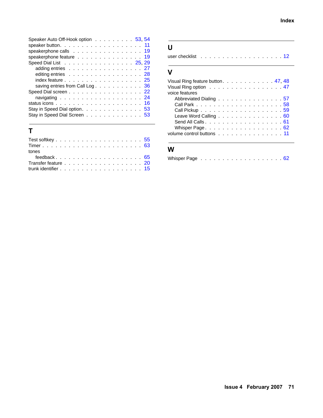| Speaker Auto Off-Hook option 53, 54                                 |  |
|---------------------------------------------------------------------|--|
|                                                                     |  |
| speakerphone calls 19                                               |  |
| speakerphone feature 19                                             |  |
| Speed Dial List $\ldots \ldots \ldots \ldots \ldots \ldots 25, 29$  |  |
| adding entries 27                                                   |  |
| editing entries $\ldots \ldots \ldots \ldots \ldots \ldots 28$      |  |
| index feature $\ldots \ldots \ldots \ldots \ldots \ldots \ldots 25$ |  |
| saving entries from Call Log. $\ldots$ 36                           |  |
| Speed Dial screen 22                                                |  |
|                                                                     |  |
|                                                                     |  |
| Stay in Speed Dial option. 53                                       |  |
| Stay in Speed Dial Screen 53                                        |  |
|                                                                     |  |

## **T**

| tones               |  |  |  |  |  |  |  |  |  |  |
|---------------------|--|--|--|--|--|--|--|--|--|--|
| feedback $65$       |  |  |  |  |  |  |  |  |  |  |
| Transfer feature 20 |  |  |  |  |  |  |  |  |  |  |
|                     |  |  |  |  |  |  |  |  |  |  |

## **U**

| user checklist $\ldots$ 12 |  |  |
|----------------------------|--|--|
|----------------------------|--|--|

## **V**

| Visual Ring feature button. 47, 48 |
|------------------------------------|
| Visual Ring option 47              |
| voice features                     |
| Abbreviated Dialing 57             |
|                                    |
|                                    |
| Leave Word Calling 60              |
|                                    |
|                                    |
| volume control buttons 11          |

## **W**

|--|--|--|--|--|--|--|--|--|--|--|--|--|--|--|--|--|--|--|--|--|--|